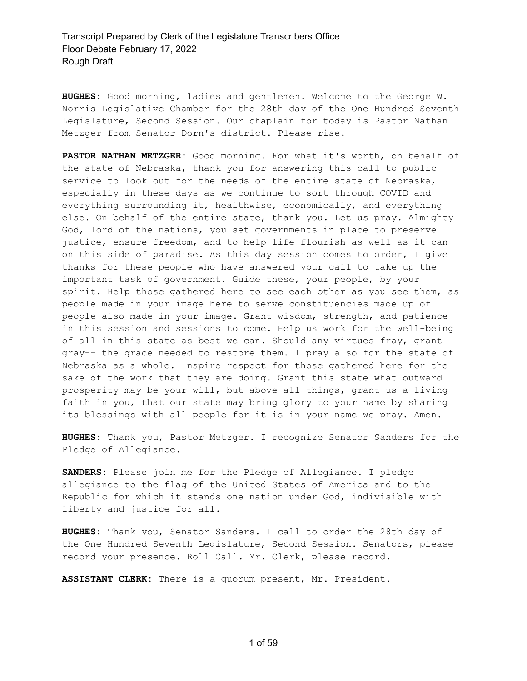**HUGHES:** Good morning, ladies and gentlemen. Welcome to the George W. Norris Legislative Chamber for the 28th day of the One Hundred Seventh Legislature, Second Session. Our chaplain for today is Pastor Nathan Metzger from Senator Dorn's district. Please rise.

**PASTOR NATHAN METZGER:** Good morning. For what it's worth, on behalf of the state of Nebraska, thank you for answering this call to public service to look out for the needs of the entire state of Nebraska, especially in these days as we continue to sort through COVID and everything surrounding it, healthwise, economically, and everything else. On behalf of the entire state, thank you. Let us pray. Almighty God, lord of the nations, you set governments in place to preserve justice, ensure freedom, and to help life flourish as well as it can on this side of paradise. As this day session comes to order, I give thanks for these people who have answered your call to take up the important task of government. Guide these, your people, by your spirit. Help those gathered here to see each other as you see them, as people made in your image here to serve constituencies made up of people also made in your image. Grant wisdom, strength, and patience in this session and sessions to come. Help us work for the well-being of all in this state as best we can. Should any virtues fray, grant gray-- the grace needed to restore them. I pray also for the state of Nebraska as a whole. Inspire respect for those gathered here for the sake of the work that they are doing. Grant this state what outward prosperity may be your will, but above all things, grant us a living faith in you, that our state may bring glory to your name by sharing its blessings with all people for it is in your name we pray. Amen.

**HUGHES:** Thank you, Pastor Metzger. I recognize Senator Sanders for the Pledge of Allegiance.

**SANDERS:** Please join me for the Pledge of Allegiance. I pledge allegiance to the flag of the United States of America and to the Republic for which it stands one nation under God, indivisible with liberty and justice for all.

**HUGHES:** Thank you, Senator Sanders. I call to order the 28th day of the One Hundred Seventh Legislature, Second Session. Senators, please record your presence. Roll Call. Mr. Clerk, please record.

**ASSISTANT CLERK:** There is a quorum present, Mr. President.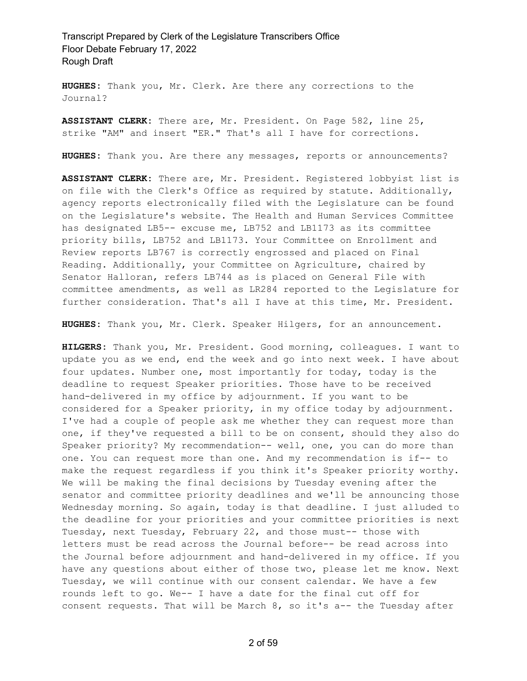**HUGHES:** Thank you, Mr. Clerk. Are there any corrections to the Journal?

**ASSISTANT CLERK:** There are, Mr. President. On Page 582, line 25, strike "AM" and insert "ER." That's all I have for corrections.

**HUGHES:** Thank you. Are there any messages, reports or announcements?

**ASSISTANT CLERK:** There are, Mr. President. Registered lobbyist list is on file with the Clerk's Office as required by statute. Additionally, agency reports electronically filed with the Legislature can be found on the Legislature's website. The Health and Human Services Committee has designated LB5-- excuse me, LB752 and LB1173 as its committee priority bills, LB752 and LB1173. Your Committee on Enrollment and Review reports LB767 is correctly engrossed and placed on Final Reading. Additionally, your Committee on Agriculture, chaired by Senator Halloran, refers LB744 as is placed on General File with committee amendments, as well as LR284 reported to the Legislature for further consideration. That's all I have at this time, Mr. President.

**HUGHES:** Thank you, Mr. Clerk. Speaker Hilgers, for an announcement.

**HILGERS:** Thank you, Mr. President. Good morning, colleagues. I want to update you as we end, end the week and go into next week. I have about four updates. Number one, most importantly for today, today is the deadline to request Speaker priorities. Those have to be received hand-delivered in my office by adjournment. If you want to be considered for a Speaker priority, in my office today by adjournment. I've had a couple of people ask me whether they can request more than one, if they've requested a bill to be on consent, should they also do Speaker priority? My recommendation-- well, one, you can do more than one. You can request more than one. And my recommendation is if-- to make the request regardless if you think it's Speaker priority worthy. We will be making the final decisions by Tuesday evening after the senator and committee priority deadlines and we'll be announcing those Wednesday morning. So again, today is that deadline. I just alluded to the deadline for your priorities and your committee priorities is next Tuesday, next Tuesday, February 22, and those must-- those with letters must be read across the Journal before-- be read across into the Journal before adjournment and hand-delivered in my office. If you have any questions about either of those two, please let me know. Next Tuesday, we will continue with our consent calendar. We have a few rounds left to go. We-- I have a date for the final cut off for consent requests. That will be March 8, so it's a-- the Tuesday after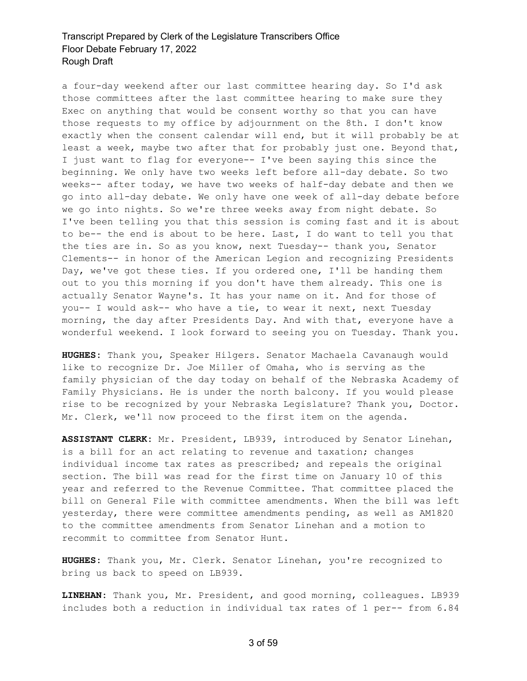a four-day weekend after our last committee hearing day. So I'd ask those committees after the last committee hearing to make sure they Exec on anything that would be consent worthy so that you can have those requests to my office by adjournment on the 8th. I don't know exactly when the consent calendar will end, but it will probably be at least a week, maybe two after that for probably just one. Beyond that, I just want to flag for everyone-- I've been saying this since the beginning. We only have two weeks left before all-day debate. So two weeks-- after today, we have two weeks of half-day debate and then we go into all-day debate. We only have one week of all-day debate before we go into nights. So we're three weeks away from night debate. So I've been telling you that this session is coming fast and it is about to be-- the end is about to be here. Last, I do want to tell you that the ties are in. So as you know, next Tuesday-- thank you, Senator Clements-- in honor of the American Legion and recognizing Presidents Day, we've got these ties. If you ordered one, I'll be handing them out to you this morning if you don't have them already. This one is actually Senator Wayne's. It has your name on it. And for those of you-- I would ask-- who have a tie, to wear it next, next Tuesday morning, the day after Presidents Day. And with that, everyone have a wonderful weekend. I look forward to seeing you on Tuesday. Thank you.

**HUGHES:** Thank you, Speaker Hilgers. Senator Machaela Cavanaugh would like to recognize Dr. Joe Miller of Omaha, who is serving as the family physician of the day today on behalf of the Nebraska Academy of Family Physicians. He is under the north balcony. If you would please rise to be recognized by your Nebraska Legislature? Thank you, Doctor. Mr. Clerk, we'll now proceed to the first item on the agenda.

**ASSISTANT CLERK:** Mr. President, LB939, introduced by Senator Linehan, is a bill for an act relating to revenue and taxation; changes individual income tax rates as prescribed; and repeals the original section. The bill was read for the first time on January 10 of this year and referred to the Revenue Committee. That committee placed the bill on General File with committee amendments. When the bill was left yesterday, there were committee amendments pending, as well as AM1820 to the committee amendments from Senator Linehan and a motion to recommit to committee from Senator Hunt.

**HUGHES:** Thank you, Mr. Clerk. Senator Linehan, you're recognized to bring us back to speed on LB939.

**LINEHAN:** Thank you, Mr. President, and good morning, colleagues. LB939 includes both a reduction in individual tax rates of 1 per-- from 6.84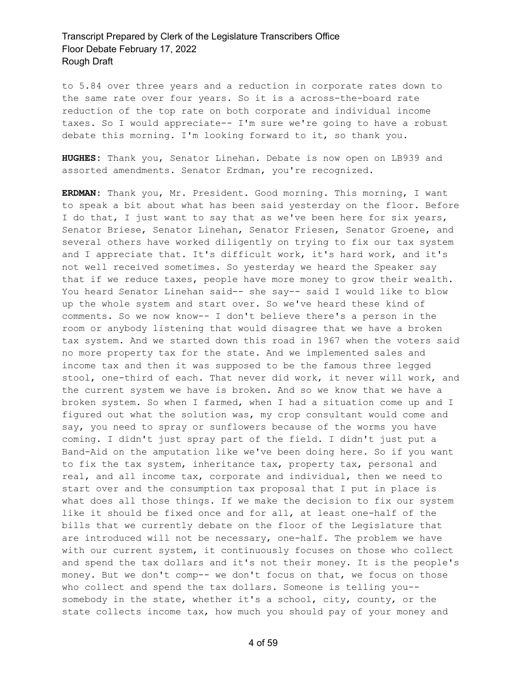to 5.84 over three years and a reduction in corporate rates down to the same rate over four years. So it is a across-the-board rate reduction of the top rate on both corporate and individual income taxes. So I would appreciate-- I'm sure we're going to have a robust debate this morning. I'm looking forward to it, so thank you.

**HUGHES:** Thank you, Senator Linehan. Debate is now open on LB939 and assorted amendments. Senator Erdman, you're recognized.

**ERDMAN:** Thank you, Mr. President. Good morning. This morning, I want to speak a bit about what has been said yesterday on the floor. Before I do that, I just want to say that as we've been here for six years, Senator Briese, Senator Linehan, Senator Friesen, Senator Groene, and several others have worked diligently on trying to fix our tax system and I appreciate that. It's difficult work, it's hard work, and it's not well received sometimes. So yesterday we heard the Speaker say that if we reduce taxes, people have more money to grow their wealth. You heard Senator Linehan said-- she say-- said I would like to blow up the whole system and start over. So we've heard these kind of comments. So we now know-- I don't believe there's a person in the room or anybody listening that would disagree that we have a broken tax system. And we started down this road in 1967 when the voters said no more property tax for the state. And we implemented sales and income tax and then it was supposed to be the famous three legged stool, one-third of each. That never did work, it never will work, and the current system we have is broken. And so we know that we have a broken system. So when I farmed, when I had a situation come up and I figured out what the solution was, my crop consultant would come and say, you need to spray or sunflowers because of the worms you have coming. I didn't just spray part of the field. I didn't just put a Band-Aid on the amputation like we've been doing here. So if you want to fix the tax system, inheritance tax, property tax, personal and real, and all income tax, corporate and individual, then we need to start over and the consumption tax proposal that I put in place is what does all those things. If we make the decision to fix our system like it should be fixed once and for all, at least one-half of the bills that we currently debate on the floor of the Legislature that are introduced will not be necessary, one-half. The problem we have with our current system, it continuously focuses on those who collect and spend the tax dollars and it's not their money. It is the people's money. But we don't comp-- we don't focus on that, we focus on those who collect and spend the tax dollars. Someone is telling you- somebody in the state, whether it's a school, city, county, or the state collects income tax, how much you should pay of your money and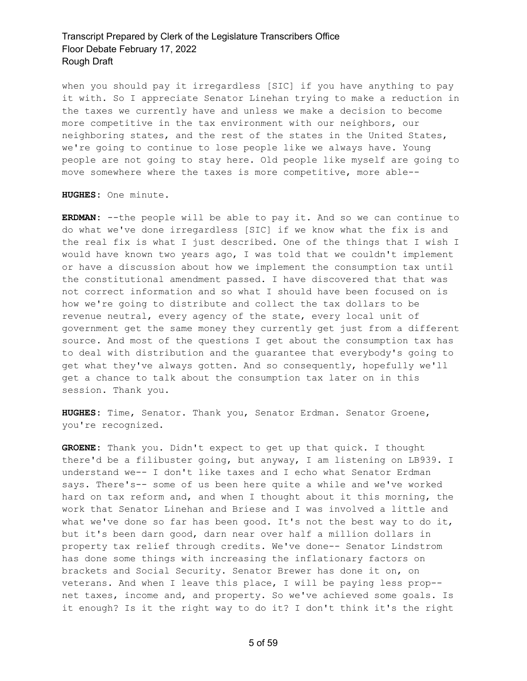when you should pay it irregardless [SIC] if you have anything to pay it with. So I appreciate Senator Linehan trying to make a reduction in the taxes we currently have and unless we make a decision to become more competitive in the tax environment with our neighbors, our neighboring states, and the rest of the states in the United States, we're going to continue to lose people like we always have. Young people are not going to stay here. Old people like myself are going to move somewhere where the taxes is more competitive, more able--

**HUGHES:** One minute.

**ERDMAN:** --the people will be able to pay it. And so we can continue to do what we've done irregardless [SIC] if we know what the fix is and the real fix is what I just described. One of the things that I wish I would have known two years ago, I was told that we couldn't implement or have a discussion about how we implement the consumption tax until the constitutional amendment passed. I have discovered that that was not correct information and so what I should have been focused on is how we're going to distribute and collect the tax dollars to be revenue neutral, every agency of the state, every local unit of government get the same money they currently get just from a different source. And most of the questions I get about the consumption tax has to deal with distribution and the guarantee that everybody's going to get what they've always gotten. And so consequently, hopefully we'll get a chance to talk about the consumption tax later on in this session. Thank you.

**HUGHES:** Time, Senator. Thank you, Senator Erdman. Senator Groene, you're recognized.

**GROENE:** Thank you. Didn't expect to get up that quick. I thought there'd be a filibuster going, but anyway, I am listening on LB939. I understand we-- I don't like taxes and I echo what Senator Erdman says. There's-- some of us been here quite a while and we've worked hard on tax reform and, and when I thought about it this morning, the work that Senator Linehan and Briese and I was involved a little and what we've done so far has been good. It's not the best way to do it, but it's been darn good, darn near over half a million dollars in property tax relief through credits. We've done-- Senator Lindstrom has done some things with increasing the inflationary factors on brackets and Social Security. Senator Brewer has done it on, on veterans. And when I leave this place, I will be paying less prop- net taxes, income and, and property. So we've achieved some goals. Is it enough? Is it the right way to do it? I don't think it's the right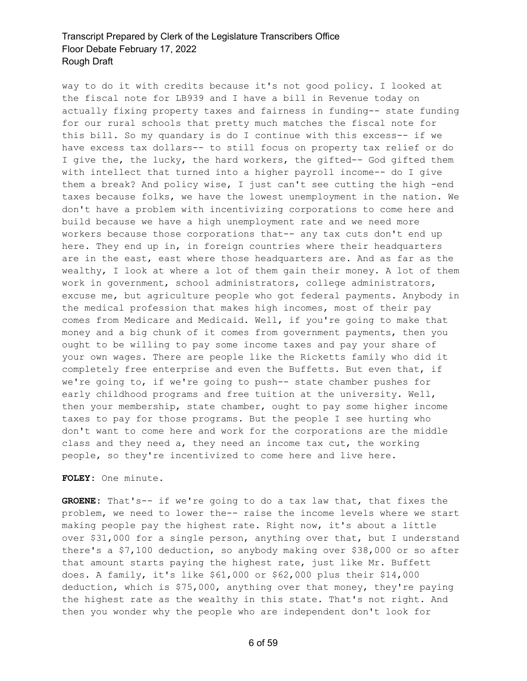way to do it with credits because it's not good policy. I looked at the fiscal note for LB939 and I have a bill in Revenue today on actually fixing property taxes and fairness in funding-- state funding for our rural schools that pretty much matches the fiscal note for this bill. So my quandary is do I continue with this excess-- if we have excess tax dollars-- to still focus on property tax relief or do I give the, the lucky, the hard workers, the gifted-- God gifted them with intellect that turned into a higher payroll income-- do I give them a break? And policy wise, I just can't see cutting the high -end taxes because folks, we have the lowest unemployment in the nation. We don't have a problem with incentivizing corporations to come here and build because we have a high unemployment rate and we need more workers because those corporations that-- any tax cuts don't end up here. They end up in, in foreign countries where their headquarters are in the east, east where those headquarters are. And as far as the wealthy, I look at where a lot of them gain their money. A lot of them work in government, school administrators, college administrators, excuse me, but agriculture people who got federal payments. Anybody in the medical profession that makes high incomes, most of their pay comes from Medicare and Medicaid. Well, if you're going to make that money and a big chunk of it comes from government payments, then you ought to be willing to pay some income taxes and pay your share of your own wages. There are people like the Ricketts family who did it completely free enterprise and even the Buffetts. But even that, if we're going to, if we're going to push-- state chamber pushes for early childhood programs and free tuition at the university. Well, then your membership, state chamber, ought to pay some higher income taxes to pay for those programs. But the people I see hurting who don't want to come here and work for the corporations are the middle class and they need a, they need an income tax cut, the working people, so they're incentivized to come here and live here.

**FOLEY:** One minute.

**GROENE:** That's-- if we're going to do a tax law that, that fixes the problem, we need to lower the-- raise the income levels where we start making people pay the highest rate. Right now, it's about a little over \$31,000 for a single person, anything over that, but I understand there's a \$7,100 deduction, so anybody making over \$38,000 or so after that amount starts paying the highest rate, just like Mr. Buffett does. A family, it's like \$61,000 or \$62,000 plus their \$14,000 deduction, which is \$75,000, anything over that money, they're paying the highest rate as the wealthy in this state. That's not right. And then you wonder why the people who are independent don't look for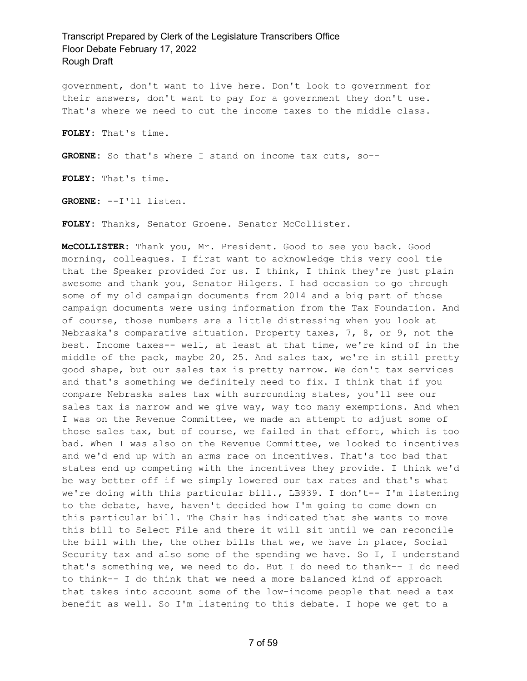government, don't want to live here. Don't look to government for their answers, don't want to pay for a government they don't use. That's where we need to cut the income taxes to the middle class.

**FOLEY:** That's time.

**GROENE:** So that's where I stand on income tax cuts, so--

**FOLEY:** That's time.

**GROENE:** --I'll listen.

FOLEY: Thanks, Senator Groene. Senator McCollister.

**McCOLLISTER:** Thank you, Mr. President. Good to see you back. Good morning, colleagues. I first want to acknowledge this very cool tie that the Speaker provided for us. I think, I think they're just plain awesome and thank you, Senator Hilgers. I had occasion to go through some of my old campaign documents from 2014 and a big part of those campaign documents were using information from the Tax Foundation. And of course, those numbers are a little distressing when you look at Nebraska's comparative situation. Property taxes, 7, 8, or 9, not the best. Income taxes-- well, at least at that time, we're kind of in the middle of the pack, maybe 20, 25. And sales tax, we're in still pretty good shape, but our sales tax is pretty narrow. We don't tax services and that's something we definitely need to fix. I think that if you compare Nebraska sales tax with surrounding states, you'll see our sales tax is narrow and we give way, way too many exemptions. And when I was on the Revenue Committee, we made an attempt to adjust some of those sales tax, but of course, we failed in that effort, which is too bad. When I was also on the Revenue Committee, we looked to incentives and we'd end up with an arms race on incentives. That's too bad that states end up competing with the incentives they provide. I think we'd be way better off if we simply lowered our tax rates and that's what we're doing with this particular bill., LB939. I don't-- I'm listening to the debate, have, haven't decided how I'm going to come down on this particular bill. The Chair has indicated that she wants to move this bill to Select File and there it will sit until we can reconcile the bill with the, the other bills that we, we have in place, Social Security tax and also some of the spending we have. So I, I understand that's something we, we need to do. But I do need to thank-- I do need to think-- I do think that we need a more balanced kind of approach that takes into account some of the low-income people that need a tax benefit as well. So I'm listening to this debate. I hope we get to a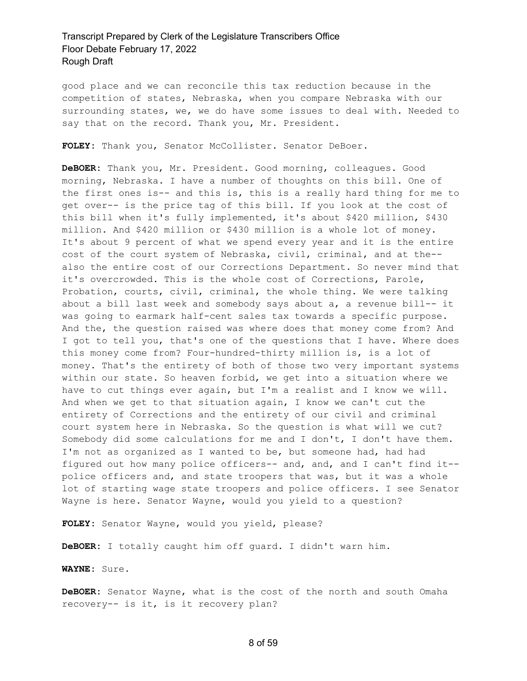good place and we can reconcile this tax reduction because in the competition of states, Nebraska, when you compare Nebraska with our surrounding states, we, we do have some issues to deal with. Needed to say that on the record. Thank you, Mr. President.

**FOLEY:** Thank you, Senator McCollister. Senator DeBoer.

**DeBOER:** Thank you, Mr. President. Good morning, colleagues. Good morning, Nebraska. I have a number of thoughts on this bill. One of the first ones is-- and this is, this is a really hard thing for me to get over-- is the price tag of this bill. If you look at the cost of this bill when it's fully implemented, it's about \$420 million, \$430 million. And \$420 million or \$430 million is a whole lot of money. It's about 9 percent of what we spend every year and it is the entire cost of the court system of Nebraska, civil, criminal, and at the- also the entire cost of our Corrections Department. So never mind that it's overcrowded. This is the whole cost of Corrections, Parole, Probation, courts, civil, criminal, the whole thing. We were talking about a bill last week and somebody says about a, a revenue bill-- it was going to earmark half-cent sales tax towards a specific purpose. And the, the question raised was where does that money come from? And I got to tell you, that's one of the questions that I have. Where does this money come from? Four-hundred-thirty million is, is a lot of money. That's the entirety of both of those two very important systems within our state. So heaven forbid, we get into a situation where we have to cut things ever again, but I'm a realist and I know we will. And when we get to that situation again, I know we can't cut the entirety of Corrections and the entirety of our civil and criminal court system here in Nebraska. So the question is what will we cut? Somebody did some calculations for me and I don't, I don't have them. I'm not as organized as I wanted to be, but someone had, had had figured out how many police officers-- and, and, and I can't find it- police officers and, and state troopers that was, but it was a whole lot of starting wage state troopers and police officers. I see Senator Wayne is here. Senator Wayne, would you yield to a question?

**FOLEY:** Senator Wayne, would you yield, please?

**DeBOER:** I totally caught him off guard. I didn't warn him.

**WAYNE:** Sure.

**DeBOER:** Senator Wayne, what is the cost of the north and south Omaha recovery-- is it, is it recovery plan?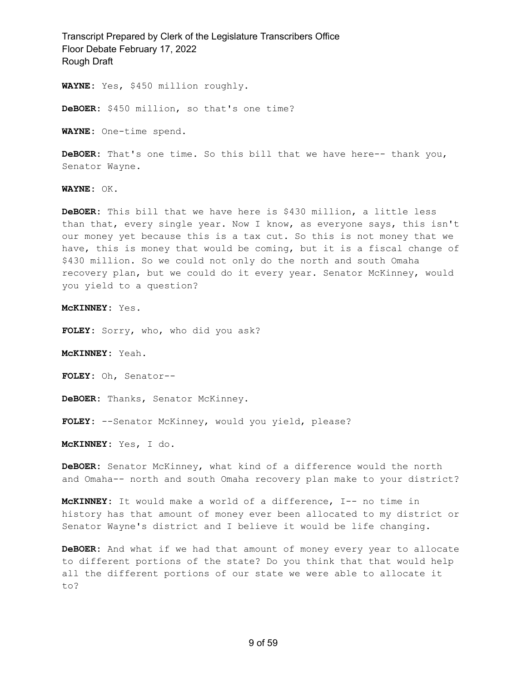**WAYNE:** Yes, \$450 million roughly.

**DeBOER:** \$450 million, so that's one time?

**WAYNE:** One-time spend.

**DeBOER:** That's one time. So this bill that we have here-- thank you, Senator Wayne.

**WAYNE:** OK.

**DeBOER:** This bill that we have here is \$430 million, a little less than that, every single year. Now I know, as everyone says, this isn't our money yet because this is a tax cut. So this is not money that we have, this is money that would be coming, but it is a fiscal change of \$430 million. So we could not only do the north and south Omaha recovery plan, but we could do it every year. Senator McKinney, would you yield to a question?

**McKINNEY:** Yes.

**FOLEY:** Sorry, who, who did you ask?

**McKINNEY:** Yeah.

**FOLEY:** Oh, Senator--

**DeBOER:** Thanks, Senator McKinney.

**FOLEY:** --Senator McKinney, would you yield, please?

**McKINNEY:** Yes, I do.

**DeBOER:** Senator McKinney, what kind of a difference would the north and Omaha-- north and south Omaha recovery plan make to your district?

**McKINNEY:** It would make a world of a difference, I-- no time in history has that amount of money ever been allocated to my district or Senator Wayne's district and I believe it would be life changing.

**DeBOER:** And what if we had that amount of money every year to allocate to different portions of the state? Do you think that that would help all the different portions of our state we were able to allocate it to?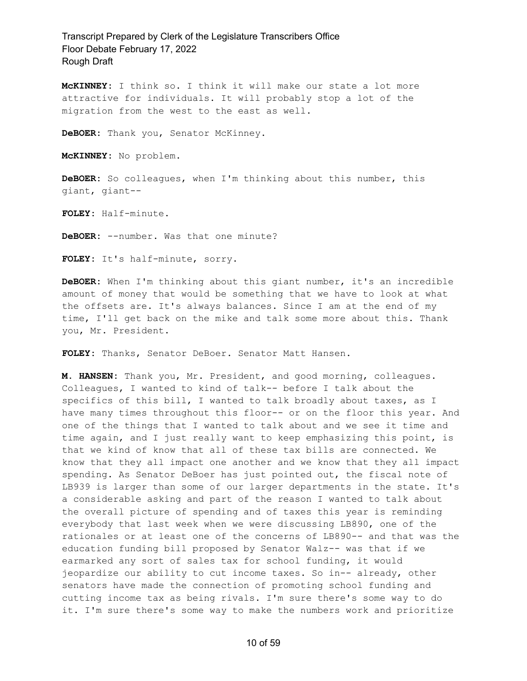**McKINNEY:** I think so. I think it will make our state a lot more attractive for individuals. It will probably stop a lot of the migration from the west to the east as well.

**DeBOER:** Thank you, Senator McKinney.

**McKINNEY:** No problem.

**DeBOER:** So colleagues, when I'm thinking about this number, this giant, giant--

**FOLEY:** Half-minute.

**DeBOER:** --number. Was that one minute?

**FOLEY:** It's half-minute, sorry.

**DeBOER:** When I'm thinking about this giant number, it's an incredible amount of money that would be something that we have to look at what the offsets are. It's always balances. Since I am at the end of my time, I'll get back on the mike and talk some more about this. Thank you, Mr. President.

**FOLEY:** Thanks, Senator DeBoer. Senator Matt Hansen.

**M. HANSEN:** Thank you, Mr. President, and good morning, colleagues. Colleagues, I wanted to kind of talk-- before I talk about the specifics of this bill, I wanted to talk broadly about taxes, as I have many times throughout this floor-- or on the floor this year. And one of the things that I wanted to talk about and we see it time and time again, and I just really want to keep emphasizing this point, is that we kind of know that all of these tax bills are connected. We know that they all impact one another and we know that they all impact spending. As Senator DeBoer has just pointed out, the fiscal note of LB939 is larger than some of our larger departments in the state. It's a considerable asking and part of the reason I wanted to talk about the overall picture of spending and of taxes this year is reminding everybody that last week when we were discussing LB890, one of the rationales or at least one of the concerns of LB890-- and that was the education funding bill proposed by Senator Walz-- was that if we earmarked any sort of sales tax for school funding, it would jeopardize our ability to cut income taxes. So in-- already, other senators have made the connection of promoting school funding and cutting income tax as being rivals. I'm sure there's some way to do it. I'm sure there's some way to make the numbers work and prioritize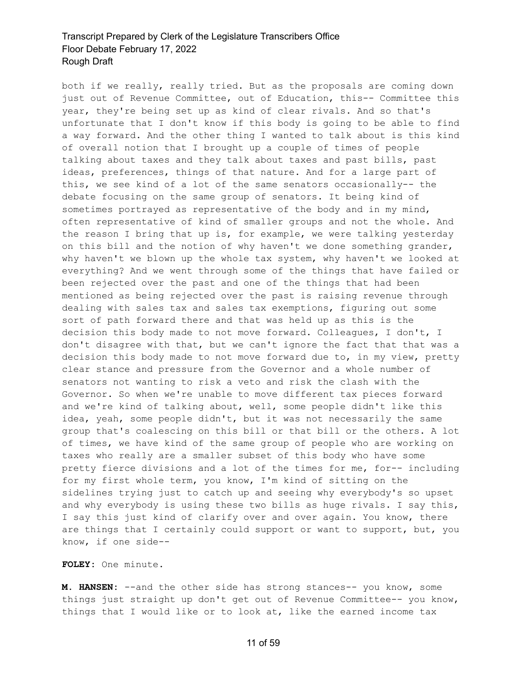both if we really, really tried. But as the proposals are coming down just out of Revenue Committee, out of Education, this-- Committee this year, they're being set up as kind of clear rivals. And so that's unfortunate that I don't know if this body is going to be able to find a way forward. And the other thing I wanted to talk about is this kind of overall notion that I brought up a couple of times of people talking about taxes and they talk about taxes and past bills, past ideas, preferences, things of that nature. And for a large part of this, we see kind of a lot of the same senators occasionally-- the debate focusing on the same group of senators. It being kind of sometimes portrayed as representative of the body and in my mind, often representative of kind of smaller groups and not the whole. And the reason I bring that up is, for example, we were talking yesterday on this bill and the notion of why haven't we done something grander, why haven't we blown up the whole tax system, why haven't we looked at everything? And we went through some of the things that have failed or been rejected over the past and one of the things that had been mentioned as being rejected over the past is raising revenue through dealing with sales tax and sales tax exemptions, figuring out some sort of path forward there and that was held up as this is the decision this body made to not move forward. Colleagues, I don't, I don't disagree with that, but we can't ignore the fact that that was a decision this body made to not move forward due to, in my view, pretty clear stance and pressure from the Governor and a whole number of senators not wanting to risk a veto and risk the clash with the Governor. So when we're unable to move different tax pieces forward and we're kind of talking about, well, some people didn't like this idea, yeah, some people didn't, but it was not necessarily the same group that's coalescing on this bill or that bill or the others. A lot of times, we have kind of the same group of people who are working on taxes who really are a smaller subset of this body who have some pretty fierce divisions and a lot of the times for me, for-- including for my first whole term, you know, I'm kind of sitting on the sidelines trying just to catch up and seeing why everybody's so upset and why everybody is using these two bills as huge rivals. I say this, I say this just kind of clarify over and over again. You know, there are things that I certainly could support or want to support, but, you know, if one side--

**FOLEY:** One minute.

**M. HANSEN:** --and the other side has strong stances-- you know, some things just straight up don't get out of Revenue Committee-- you know, things that I would like or to look at, like the earned income tax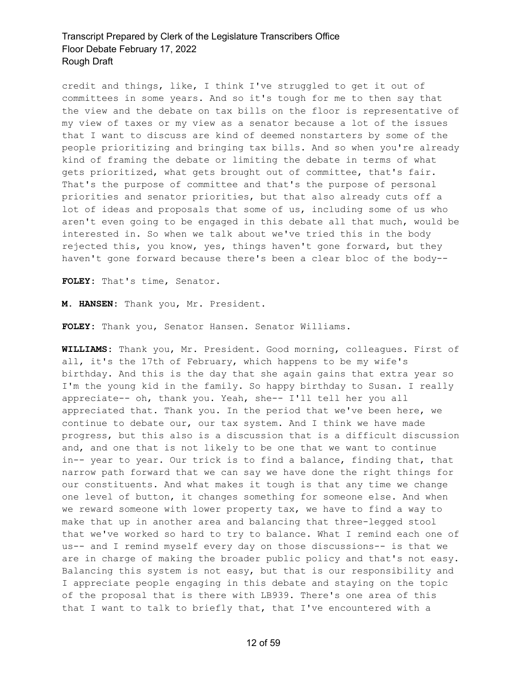credit and things, like, I think I've struggled to get it out of committees in some years. And so it's tough for me to then say that the view and the debate on tax bills on the floor is representative of my view of taxes or my view as a senator because a lot of the issues that I want to discuss are kind of deemed nonstarters by some of the people prioritizing and bringing tax bills. And so when you're already kind of framing the debate or limiting the debate in terms of what gets prioritized, what gets brought out of committee, that's fair. That's the purpose of committee and that's the purpose of personal priorities and senator priorities, but that also already cuts off a lot of ideas and proposals that some of us, including some of us who aren't even going to be engaged in this debate all that much, would be interested in. So when we talk about we've tried this in the body rejected this, you know, yes, things haven't gone forward, but they haven't gone forward because there's been a clear bloc of the body--

**FOLEY:** That's time, Senator.

**M. HANSEN:** Thank you, Mr. President.

**FOLEY:** Thank you, Senator Hansen. Senator Williams.

**WILLIAMS:** Thank you, Mr. President. Good morning, colleagues. First of all, it's the 17th of February, which happens to be my wife's birthday. And this is the day that she again gains that extra year so I'm the young kid in the family. So happy birthday to Susan. I really appreciate-- oh, thank you. Yeah, she-- I'll tell her you all appreciated that. Thank you. In the period that we've been here, we continue to debate our, our tax system. And I think we have made progress, but this also is a discussion that is a difficult discussion and, and one that is not likely to be one that we want to continue in-- year to year. Our trick is to find a balance, finding that, that narrow path forward that we can say we have done the right things for our constituents. And what makes it tough is that any time we change one level of button, it changes something for someone else. And when we reward someone with lower property tax, we have to find a way to make that up in another area and balancing that three-legged stool that we've worked so hard to try to balance. What I remind each one of us-- and I remind myself every day on those discussions-- is that we are in charge of making the broader public policy and that's not easy. Balancing this system is not easy, but that is our responsibility and I appreciate people engaging in this debate and staying on the topic of the proposal that is there with LB939. There's one area of this that I want to talk to briefly that, that I've encountered with a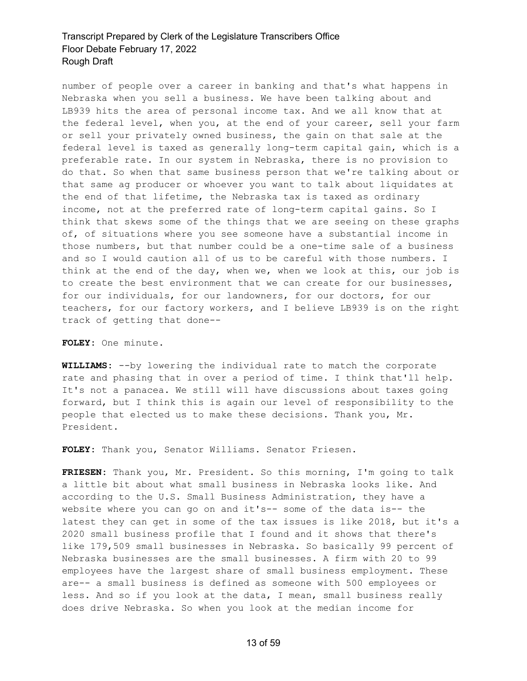number of people over a career in banking and that's what happens in Nebraska when you sell a business. We have been talking about and LB939 hits the area of personal income tax. And we all know that at the federal level, when you, at the end of your career, sell your farm or sell your privately owned business, the gain on that sale at the federal level is taxed as generally long-term capital gain, which is a preferable rate. In our system in Nebraska, there is no provision to do that. So when that same business person that we're talking about or that same ag producer or whoever you want to talk about liquidates at the end of that lifetime, the Nebraska tax is taxed as ordinary income, not at the preferred rate of long-term capital gains. So I think that skews some of the things that we are seeing on these graphs of, of situations where you see someone have a substantial income in those numbers, but that number could be a one-time sale of a business and so I would caution all of us to be careful with those numbers. I think at the end of the day, when we, when we look at this, our job is to create the best environment that we can create for our businesses, for our individuals, for our landowners, for our doctors, for our teachers, for our factory workers, and I believe LB939 is on the right track of getting that done--

**FOLEY:** One minute.

**WILLIAMS:** --by lowering the individual rate to match the corporate rate and phasing that in over a period of time. I think that'll help. It's not a panacea. We still will have discussions about taxes going forward, but I think this is again our level of responsibility to the people that elected us to make these decisions. Thank you, Mr. President.

**FOLEY:** Thank you, Senator Williams. Senator Friesen.

**FRIESEN:** Thank you, Mr. President. So this morning, I'm going to talk a little bit about what small business in Nebraska looks like. And according to the U.S. Small Business Administration, they have a website where you can go on and it's-- some of the data is-- the latest they can get in some of the tax issues is like 2018, but it's a 2020 small business profile that I found and it shows that there's like 179,509 small businesses in Nebraska. So basically 99 percent of Nebraska businesses are the small businesses. A firm with 20 to 99 employees have the largest share of small business employment. These are-- a small business is defined as someone with 500 employees or less. And so if you look at the data, I mean, small business really does drive Nebraska. So when you look at the median income for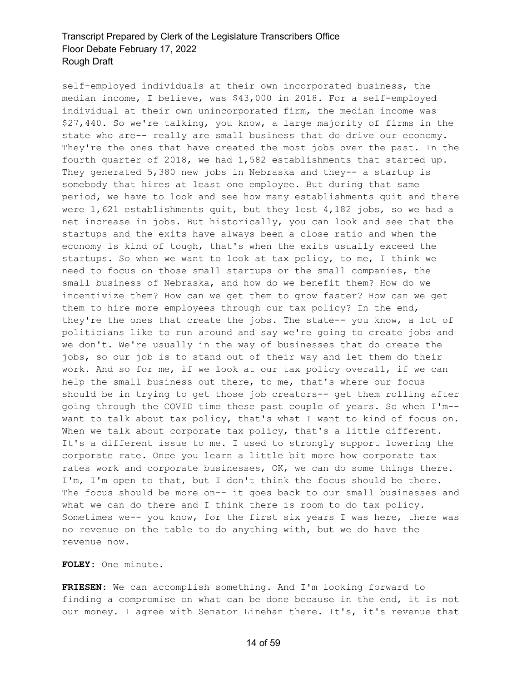self-employed individuals at their own incorporated business, the median income, I believe, was \$43,000 in 2018. For a self-employed individual at their own unincorporated firm, the median income was \$27,440. So we're talking, you know, a large majority of firms in the state who are-- really are small business that do drive our economy. They're the ones that have created the most jobs over the past. In the fourth quarter of 2018, we had 1,582 establishments that started up. They generated 5,380 new jobs in Nebraska and they-- a startup is somebody that hires at least one employee. But during that same period, we have to look and see how many establishments quit and there were 1,621 establishments quit, but they lost 4,182 jobs, so we had a net increase in jobs. But historically, you can look and see that the startups and the exits have always been a close ratio and when the economy is kind of tough, that's when the exits usually exceed the startups. So when we want to look at tax policy, to me, I think we need to focus on those small startups or the small companies, the small business of Nebraska, and how do we benefit them? How do we incentivize them? How can we get them to grow faster? How can we get them to hire more employees through our tax policy? In the end, they're the ones that create the jobs. The state-- you know, a lot of politicians like to run around and say we're going to create jobs and we don't. We're usually in the way of businesses that do create the jobs, so our job is to stand out of their way and let them do their work. And so for me, if we look at our tax policy overall, if we can help the small business out there, to me, that's where our focus should be in trying to get those job creators-- get them rolling after going through the COVID time these past couple of years. So when I'm- want to talk about tax policy, that's what I want to kind of focus on. When we talk about corporate tax policy, that's a little different. It's a different issue to me. I used to strongly support lowering the corporate rate. Once you learn a little bit more how corporate tax rates work and corporate businesses, OK, we can do some things there. I'm, I'm open to that, but I don't think the focus should be there. The focus should be more on-- it goes back to our small businesses and what we can do there and I think there is room to do tax policy. Sometimes we-- you know, for the first six years I was here, there was no revenue on the table to do anything with, but we do have the revenue now.

**FOLEY:** One minute.

**FRIESEN:** We can accomplish something. And I'm looking forward to finding a compromise on what can be done because in the end, it is not our money. I agree with Senator Linehan there. It's, it's revenue that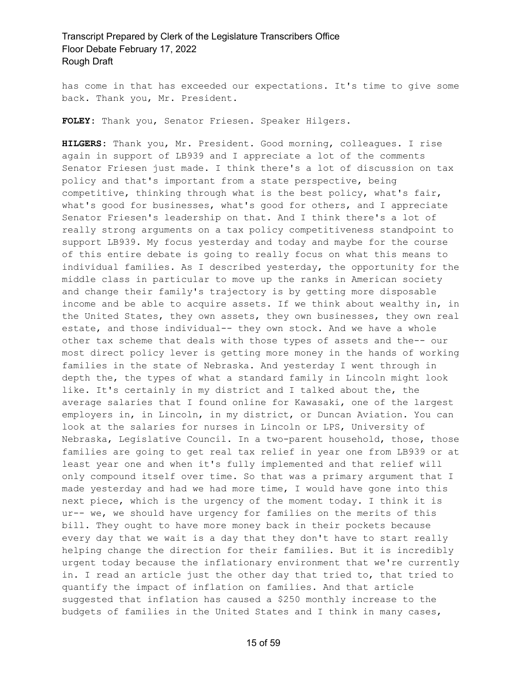has come in that has exceeded our expectations. It's time to give some back. Thank you, Mr. President.

**FOLEY:** Thank you, Senator Friesen. Speaker Hilgers.

**HILGERS:** Thank you, Mr. President. Good morning, colleagues. I rise again in support of LB939 and I appreciate a lot of the comments Senator Friesen just made. I think there's a lot of discussion on tax policy and that's important from a state perspective, being competitive, thinking through what is the best policy, what's fair, what's good for businesses, what's good for others, and I appreciate Senator Friesen's leadership on that. And I think there's a lot of really strong arguments on a tax policy competitiveness standpoint to support LB939. My focus yesterday and today and maybe for the course of this entire debate is going to really focus on what this means to individual families. As I described yesterday, the opportunity for the middle class in particular to move up the ranks in American society and change their family's trajectory is by getting more disposable income and be able to acquire assets. If we think about wealthy in, in the United States, they own assets, they own businesses, they own real estate, and those individual-- they own stock. And we have a whole other tax scheme that deals with those types of assets and the-- our most direct policy lever is getting more money in the hands of working families in the state of Nebraska. And yesterday I went through in depth the, the types of what a standard family in Lincoln might look like. It's certainly in my district and I talked about the, the average salaries that I found online for Kawasaki, one of the largest employers in, in Lincoln, in my district, or Duncan Aviation. You can look at the salaries for nurses in Lincoln or LPS, University of Nebraska, Legislative Council. In a two-parent household, those, those families are going to get real tax relief in year one from LB939 or at least year one and when it's fully implemented and that relief will only compound itself over time. So that was a primary argument that I made yesterday and had we had more time, I would have gone into this next piece, which is the urgency of the moment today. I think it is ur-- we, we should have urgency for families on the merits of this bill. They ought to have more money back in their pockets because every day that we wait is a day that they don't have to start really helping change the direction for their families. But it is incredibly urgent today because the inflationary environment that we're currently in. I read an article just the other day that tried to, that tried to quantify the impact of inflation on families. And that article suggested that inflation has caused a \$250 monthly increase to the budgets of families in the United States and I think in many cases,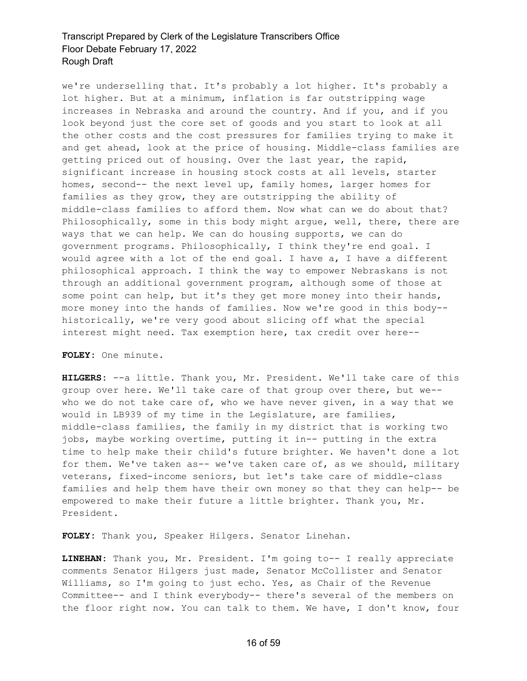we're underselling that. It's probably a lot higher. It's probably a lot higher. But at a minimum, inflation is far outstripping wage increases in Nebraska and around the country. And if you, and if you look beyond just the core set of goods and you start to look at all the other costs and the cost pressures for families trying to make it and get ahead, look at the price of housing. Middle-class families are getting priced out of housing. Over the last year, the rapid, significant increase in housing stock costs at all levels, starter homes, second-- the next level up, family homes, larger homes for families as they grow, they are outstripping the ability of middle-class families to afford them. Now what can we do about that? Philosophically, some in this body might argue, well, there, there are ways that we can help. We can do housing supports, we can do government programs. Philosophically, I think they're end goal. I would agree with a lot of the end goal. I have a, I have a different philosophical approach. I think the way to empower Nebraskans is not through an additional government program, although some of those at some point can help, but it's they get more money into their hands, more money into the hands of families. Now we're good in this body- historically, we're very good about slicing off what the special interest might need. Tax exemption here, tax credit over here--

**FOLEY:** One minute.

**HILGERS:** --a little. Thank you, Mr. President. We'll take care of this group over here. We'll take care of that group over there, but we- who we do not take care of, who we have never given, in a way that we would in LB939 of my time in the Legislature, are families, middle-class families, the family in my district that is working two jobs, maybe working overtime, putting it in-- putting in the extra time to help make their child's future brighter. We haven't done a lot for them. We've taken as-- we've taken care of, as we should, military veterans, fixed-income seniors, but let's take care of middle-class families and help them have their own money so that they can help-- be empowered to make their future a little brighter. Thank you, Mr. President.

**FOLEY:** Thank you, Speaker Hilgers. Senator Linehan.

**LINEHAN:** Thank you, Mr. President. I'm going to-- I really appreciate comments Senator Hilgers just made, Senator McCollister and Senator Williams, so I'm going to just echo. Yes, as Chair of the Revenue Committee-- and I think everybody-- there's several of the members on the floor right now. You can talk to them. We have, I don't know, four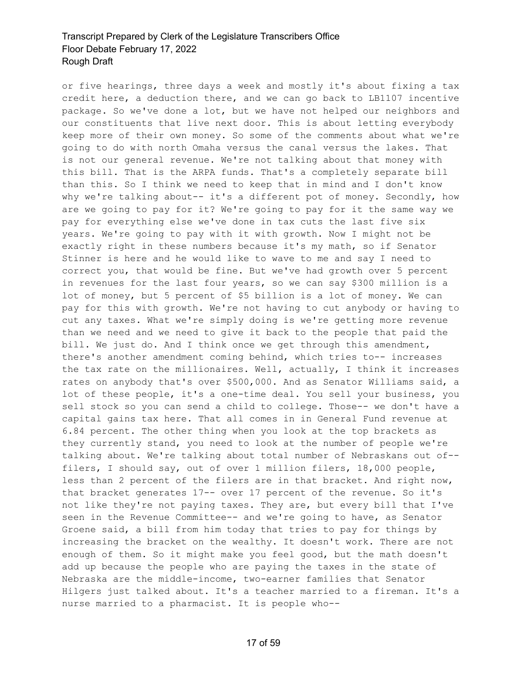or five hearings, three days a week and mostly it's about fixing a tax credit here, a deduction there, and we can go back to LB1107 incentive package. So we've done a lot, but we have not helped our neighbors and our constituents that live next door. This is about letting everybody keep more of their own money. So some of the comments about what we're going to do with north Omaha versus the canal versus the lakes. That is not our general revenue. We're not talking about that money with this bill. That is the ARPA funds. That's a completely separate bill than this. So I think we need to keep that in mind and I don't know why we're talking about-- it's a different pot of money. Secondly, how are we going to pay for it? We're going to pay for it the same way we pay for everything else we've done in tax cuts the last five six years. We're going to pay with it with growth. Now I might not be exactly right in these numbers because it's my math, so if Senator Stinner is here and he would like to wave to me and say I need to correct you, that would be fine. But we've had growth over 5 percent in revenues for the last four years, so we can say \$300 million is a lot of money, but 5 percent of \$5 billion is a lot of money. We can pay for this with growth. We're not having to cut anybody or having to cut any taxes. What we're simply doing is we're getting more revenue than we need and we need to give it back to the people that paid the bill. We just do. And I think once we get through this amendment, there's another amendment coming behind, which tries to-- increases the tax rate on the millionaires. Well, actually, I think it increases rates on anybody that's over \$500,000. And as Senator Williams said, a lot of these people, it's a one-time deal. You sell your business, you sell stock so you can send a child to college. Those-- we don't have a capital gains tax here. That all comes in in General Fund revenue at 6.84 percent. The other thing when you look at the top brackets as they currently stand, you need to look at the number of people we're talking about. We're talking about total number of Nebraskans out of- filers, I should say, out of over 1 million filers, 18,000 people, less than 2 percent of the filers are in that bracket. And right now, that bracket generates 17-- over 17 percent of the revenue. So it's not like they're not paying taxes. They are, but every bill that I've seen in the Revenue Committee-- and we're going to have, as Senator Groene said, a bill from him today that tries to pay for things by increasing the bracket on the wealthy. It doesn't work. There are not enough of them. So it might make you feel good, but the math doesn't add up because the people who are paying the taxes in the state of Nebraska are the middle-income, two-earner families that Senator Hilgers just talked about. It's a teacher married to a fireman. It's a nurse married to a pharmacist. It is people who--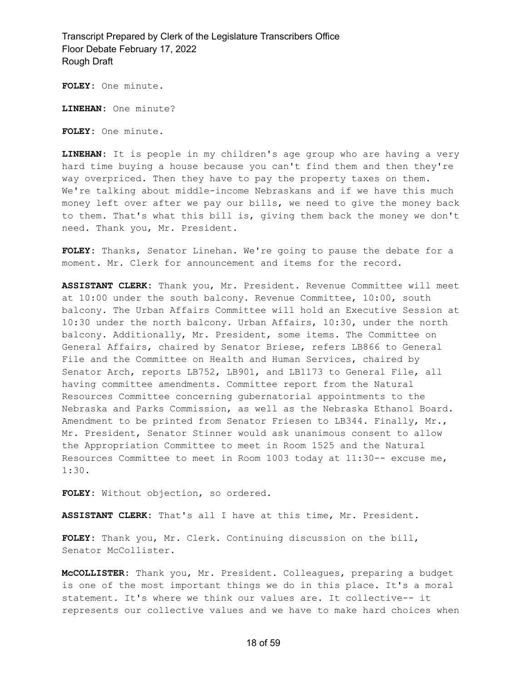**FOLEY:** One minute.

**LINEHAN:** One minute?

**FOLEY:** One minute.

**LINEHAN:** It is people in my children's age group who are having a very hard time buying a house because you can't find them and then they're way overpriced. Then they have to pay the property taxes on them. We're talking about middle-income Nebraskans and if we have this much money left over after we pay our bills, we need to give the money back to them. That's what this bill is, giving them back the money we don't need. Thank you, Mr. President.

**FOLEY:** Thanks, Senator Linehan. We're going to pause the debate for a moment. Mr. Clerk for announcement and items for the record.

**ASSISTANT CLERK:** Thank you, Mr. President. Revenue Committee will meet at 10:00 under the south balcony. Revenue Committee, 10:00, south balcony. The Urban Affairs Committee will hold an Executive Session at 10:30 under the north balcony. Urban Affairs, 10:30, under the north balcony. Additionally, Mr. President, some items. The Committee on General Affairs, chaired by Senator Briese, refers LB866 to General File and the Committee on Health and Human Services, chaired by Senator Arch, reports LB752, LB901, and LB1173 to General File, all having committee amendments. Committee report from the Natural Resources Committee concerning gubernatorial appointments to the Nebraska and Parks Commission, as well as the Nebraska Ethanol Board. Amendment to be printed from Senator Friesen to LB344. Finally, Mr., Mr. President, Senator Stinner would ask unanimous consent to allow the Appropriation Committee to meet in Room 1525 and the Natural Resources Committee to meet in Room 1003 today at 11:30-- excuse me, 1:30.

**FOLEY:** Without objection, so ordered.

**ASSISTANT CLERK:** That's all I have at this time, Mr. President.

**FOLEY:** Thank you, Mr. Clerk. Continuing discussion on the bill, Senator McCollister.

**McCOLLISTER:** Thank you, Mr. President. Colleagues, preparing a budget is one of the most important things we do in this place. It's a moral statement. It's where we think our values are. It collective-- it represents our collective values and we have to make hard choices when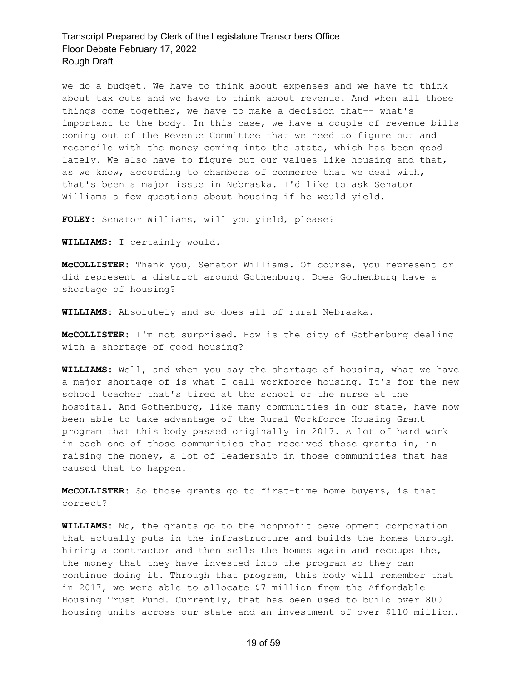we do a budget. We have to think about expenses and we have to think about tax cuts and we have to think about revenue. And when all those things come together, we have to make a decision that-- what's important to the body. In this case, we have a couple of revenue bills coming out of the Revenue Committee that we need to figure out and reconcile with the money coming into the state, which has been good lately. We also have to figure out our values like housing and that, as we know, according to chambers of commerce that we deal with, that's been a major issue in Nebraska. I'd like to ask Senator Williams a few questions about housing if he would yield.

**FOLEY:** Senator Williams, will you yield, please?

**WILLIAMS:** I certainly would.

**McCOLLISTER:** Thank you, Senator Williams. Of course, you represent or did represent a district around Gothenburg. Does Gothenburg have a shortage of housing?

**WILLIAMS:** Absolutely and so does all of rural Nebraska.

**McCOLLISTER:** I'm not surprised. How is the city of Gothenburg dealing with a shortage of good housing?

**WILLIAMS:** Well, and when you say the shortage of housing, what we have a major shortage of is what I call workforce housing. It's for the new school teacher that's tired at the school or the nurse at the hospital. And Gothenburg, like many communities in our state, have now been able to take advantage of the Rural Workforce Housing Grant program that this body passed originally in 2017. A lot of hard work in each one of those communities that received those grants in, in raising the money, a lot of leadership in those communities that has caused that to happen.

**McCOLLISTER:** So those grants go to first-time home buyers, is that correct?

**WILLIAMS:** No, the grants go to the nonprofit development corporation that actually puts in the infrastructure and builds the homes through hiring a contractor and then sells the homes again and recoups the, the money that they have invested into the program so they can continue doing it. Through that program, this body will remember that in 2017, we were able to allocate \$7 million from the Affordable Housing Trust Fund. Currently, that has been used to build over 800 housing units across our state and an investment of over \$110 million.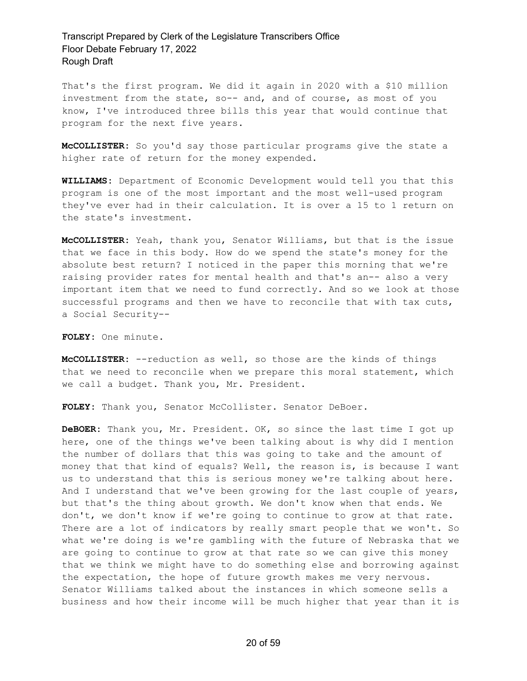That's the first program. We did it again in 2020 with a \$10 million investment from the state, so-- and, and of course, as most of you know, I've introduced three bills this year that would continue that program for the next five years.

**McCOLLISTER:** So you'd say those particular programs give the state a higher rate of return for the money expended.

**WILLIAMS:** Department of Economic Development would tell you that this program is one of the most important and the most well-used program they've ever had in their calculation. It is over a 15 to 1 return on the state's investment.

**McCOLLISTER:** Yeah, thank you, Senator Williams, but that is the issue that we face in this body. How do we spend the state's money for the absolute best return? I noticed in the paper this morning that we're raising provider rates for mental health and that's an-- also a very important item that we need to fund correctly. And so we look at those successful programs and then we have to reconcile that with tax cuts, a Social Security--

**FOLEY:** One minute.

**McCOLLISTER:** --reduction as well, so those are the kinds of things that we need to reconcile when we prepare this moral statement, which we call a budget. Thank you, Mr. President.

**FOLEY:** Thank you, Senator McCollister. Senator DeBoer.

**DeBOER:** Thank you, Mr. President. OK, so since the last time I got up here, one of the things we've been talking about is why did I mention the number of dollars that this was going to take and the amount of money that that kind of equals? Well, the reason is, is because I want us to understand that this is serious money we're talking about here. And I understand that we've been growing for the last couple of years, but that's the thing about growth. We don't know when that ends. We don't, we don't know if we're going to continue to grow at that rate. There are a lot of indicators by really smart people that we won't. So what we're doing is we're gambling with the future of Nebraska that we are going to continue to grow at that rate so we can give this money that we think we might have to do something else and borrowing against the expectation, the hope of future growth makes me very nervous. Senator Williams talked about the instances in which someone sells a business and how their income will be much higher that year than it is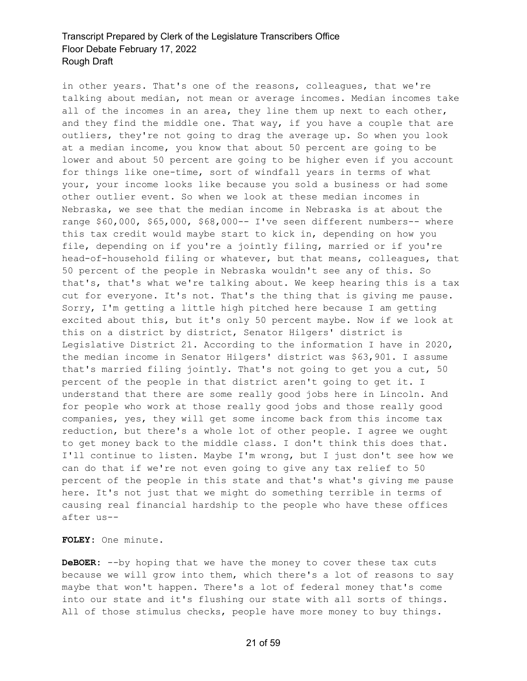in other years. That's one of the reasons, colleagues, that we're talking about median, not mean or average incomes. Median incomes take all of the incomes in an area, they line them up next to each other, and they find the middle one. That way, if you have a couple that are outliers, they're not going to drag the average up. So when you look at a median income, you know that about 50 percent are going to be lower and about 50 percent are going to be higher even if you account for things like one-time, sort of windfall years in terms of what your, your income looks like because you sold a business or had some other outlier event. So when we look at these median incomes in Nebraska, we see that the median income in Nebraska is at about the range \$60,000, \$65,000, \$68,000-- I've seen different numbers-- where this tax credit would maybe start to kick in, depending on how you file, depending on if you're a jointly filing, married or if you're head-of-household filing or whatever, but that means, colleagues, that 50 percent of the people in Nebraska wouldn't see any of this. So that's, that's what we're talking about. We keep hearing this is a tax cut for everyone. It's not. That's the thing that is giving me pause. Sorry, I'm getting a little high pitched here because I am getting excited about this, but it's only 50 percent maybe. Now if we look at this on a district by district, Senator Hilgers' district is Legislative District 21. According to the information I have in 2020, the median income in Senator Hilgers' district was \$63,901. I assume that's married filing jointly. That's not going to get you a cut, 50 percent of the people in that district aren't going to get it. I understand that there are some really good jobs here in Lincoln. And for people who work at those really good jobs and those really good companies, yes, they will get some income back from this income tax reduction, but there's a whole lot of other people. I agree we ought to get money back to the middle class. I don't think this does that. I'll continue to listen. Maybe I'm wrong, but I just don't see how we can do that if we're not even going to give any tax relief to 50 percent of the people in this state and that's what's giving me pause here. It's not just that we might do something terrible in terms of causing real financial hardship to the people who have these offices after us--

**FOLEY:** One minute.

**DeBOER:** --by hoping that we have the money to cover these tax cuts because we will grow into them, which there's a lot of reasons to say maybe that won't happen. There's a lot of federal money that's come into our state and it's flushing our state with all sorts of things. All of those stimulus checks, people have more money to buy things.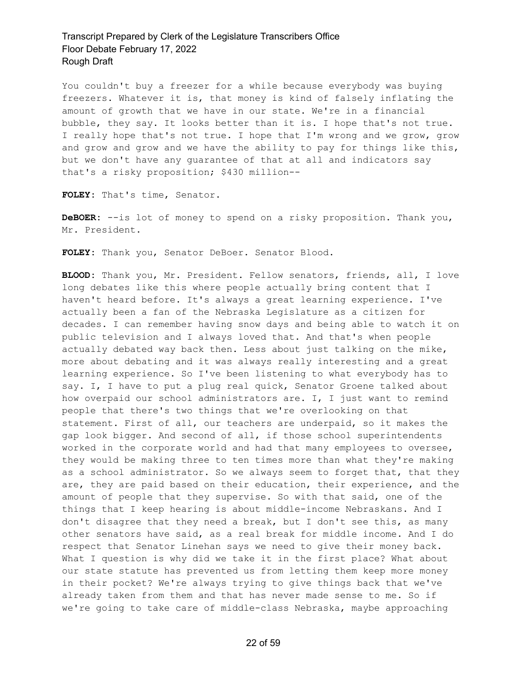You couldn't buy a freezer for a while because everybody was buying freezers. Whatever it is, that money is kind of falsely inflating the amount of growth that we have in our state. We're in a financial bubble, they say. It looks better than it is. I hope that's not true. I really hope that's not true. I hope that I'm wrong and we grow, grow and grow and grow and we have the ability to pay for things like this, but we don't have any guarantee of that at all and indicators say that's a risky proposition; \$430 million--

**FOLEY:** That's time, Senator.

**DeBOER:** --is lot of money to spend on a risky proposition. Thank you, Mr. President.

**FOLEY:** Thank you, Senator DeBoer. Senator Blood.

**BLOOD:** Thank you, Mr. President. Fellow senators, friends, all, I love long debates like this where people actually bring content that I haven't heard before. It's always a great learning experience. I've actually been a fan of the Nebraska Legislature as a citizen for decades. I can remember having snow days and being able to watch it on public television and I always loved that. And that's when people actually debated way back then. Less about just talking on the mike, more about debating and it was always really interesting and a great learning experience. So I've been listening to what everybody has to say. I, I have to put a plug real quick, Senator Groene talked about how overpaid our school administrators are. I, I just want to remind people that there's two things that we're overlooking on that statement. First of all, our teachers are underpaid, so it makes the gap look bigger. And second of all, if those school superintendents worked in the corporate world and had that many employees to oversee, they would be making three to ten times more than what they're making as a school administrator. So we always seem to forget that, that they are, they are paid based on their education, their experience, and the amount of people that they supervise. So with that said, one of the things that I keep hearing is about middle-income Nebraskans. And I don't disagree that they need a break, but I don't see this, as many other senators have said, as a real break for middle income. And I do respect that Senator Linehan says we need to give their money back. What I question is why did we take it in the first place? What about our state statute has prevented us from letting them keep more money in their pocket? We're always trying to give things back that we've already taken from them and that has never made sense to me. So if we're going to take care of middle-class Nebraska, maybe approaching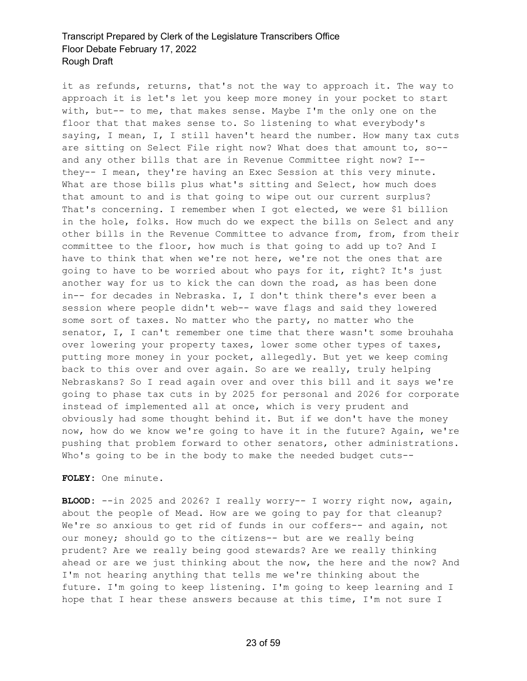it as refunds, returns, that's not the way to approach it. The way to approach it is let's let you keep more money in your pocket to start with, but-- to me, that makes sense. Maybe I'm the only one on the floor that that makes sense to. So listening to what everybody's saying, I mean, I, I still haven't heard the number. How many tax cuts are sitting on Select File right now? What does that amount to, so- and any other bills that are in Revenue Committee right now? I- they-- I mean, they're having an Exec Session at this very minute. What are those bills plus what's sitting and Select, how much does that amount to and is that going to wipe out our current surplus? That's concerning. I remember when I got elected, we were \$1 billion in the hole, folks. How much do we expect the bills on Select and any other bills in the Revenue Committee to advance from, from, from their committee to the floor, how much is that going to add up to? And I have to think that when we're not here, we're not the ones that are going to have to be worried about who pays for it, right? It's just another way for us to kick the can down the road, as has been done in-- for decades in Nebraska. I, I don't think there's ever been a session where people didn't web-- wave flags and said they lowered some sort of taxes. No matter who the party, no matter who the senator, I, I can't remember one time that there wasn't some brouhaha over lowering your property taxes, lower some other types of taxes, putting more money in your pocket, allegedly. But yet we keep coming back to this over and over again. So are we really, truly helping Nebraskans? So I read again over and over this bill and it says we're going to phase tax cuts in by 2025 for personal and 2026 for corporate instead of implemented all at once, which is very prudent and obviously had some thought behind it. But if we don't have the money now, how do we know we're going to have it in the future? Again, we're pushing that problem forward to other senators, other administrations. Who's going to be in the body to make the needed budget cuts--

**FOLEY:** One minute.

**BLOOD:** --in 2025 and 2026? I really worry-- I worry right now, again, about the people of Mead. How are we going to pay for that cleanup? We're so anxious to get rid of funds in our coffers-- and again, not our money; should go to the citizens-- but are we really being prudent? Are we really being good stewards? Are we really thinking ahead or are we just thinking about the now, the here and the now? And I'm not hearing anything that tells me we're thinking about the future. I'm going to keep listening. I'm going to keep learning and I hope that I hear these answers because at this time, I'm not sure I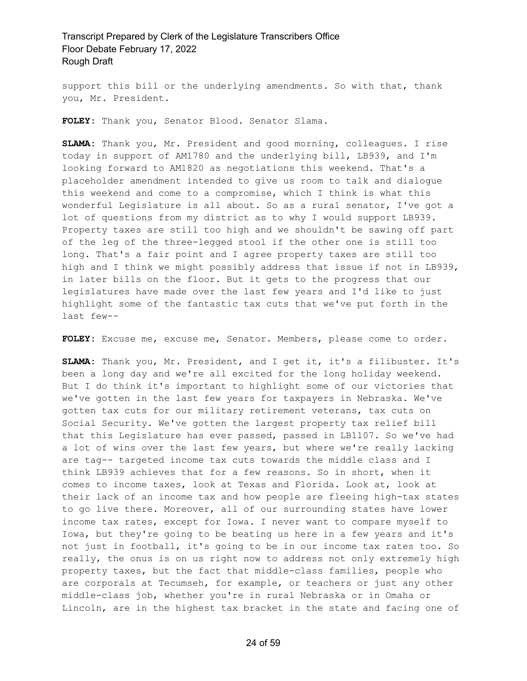support this bill or the underlying amendments. So with that, thank you, Mr. President.

**FOLEY:** Thank you, Senator Blood. Senator Slama.

**SLAMA:** Thank you, Mr. President and good morning, colleagues. I rise today in support of AM1780 and the underlying bill, LB939, and I'm looking forward to AM1820 as negotiations this weekend. That's a placeholder amendment intended to give us room to talk and dialogue this weekend and come to a compromise, which I think is what this wonderful Legislature is all about. So as a rural senator, I've got a lot of questions from my district as to why I would support LB939. Property taxes are still too high and we shouldn't be sawing off part of the leg of the three-legged stool if the other one is still too long. That's a fair point and I agree property taxes are still too high and I think we might possibly address that issue if not in LB939, in later bills on the floor. But it gets to the progress that our legislatures have made over the last few years and I'd like to just highlight some of the fantastic tax cuts that we've put forth in the last few--

**FOLEY:** Excuse me, excuse me, Senator. Members, please come to order.

**SLAMA:** Thank you, Mr. President, and I get it, it's a filibuster. It's been a long day and we're all excited for the long holiday weekend. But I do think it's important to highlight some of our victories that we've gotten in the last few years for taxpayers in Nebraska. We've gotten tax cuts for our military retirement veterans, tax cuts on Social Security. We've gotten the largest property tax relief bill that this Legislature has ever passed, passed in LB1107. So we've had a lot of wins over the last few years, but where we're really lacking are tag-- targeted income tax cuts towards the middle class and I think LB939 achieves that for a few reasons. So in short, when it comes to income taxes, look at Texas and Florida. Look at, look at their lack of an income tax and how people are fleeing high-tax states to go live there. Moreover, all of our surrounding states have lower income tax rates, except for Iowa. I never want to compare myself to Iowa, but they're going to be beating us here in a few years and it's not just in football, it's going to be in our income tax rates too. So really, the onus is on us right now to address not only extremely high property taxes, but the fact that middle-class families, people who are corporals at Tecumseh, for example, or teachers or just any other middle-class job, whether you're in rural Nebraska or in Omaha or Lincoln, are in the highest tax bracket in the state and facing one of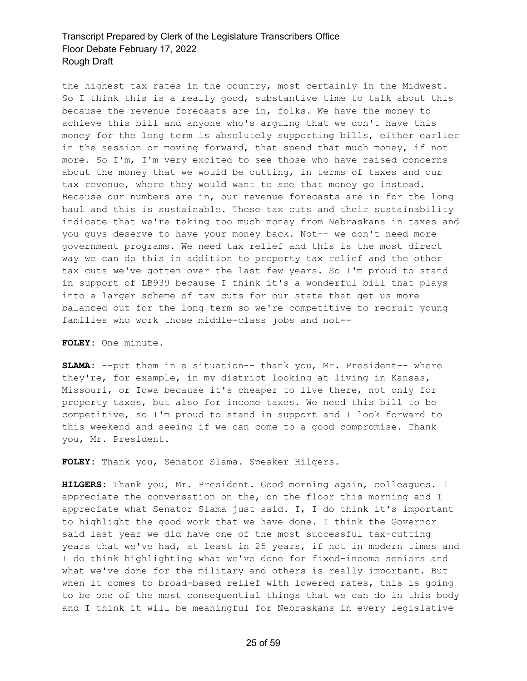the highest tax rates in the country, most certainly in the Midwest. So I think this is a really good, substantive time to talk about this because the revenue forecasts are in, folks. We have the money to achieve this bill and anyone who's arguing that we don't have this money for the long term is absolutely supporting bills, either earlier in the session or moving forward, that spend that much money, if not more. So I'm, I'm very excited to see those who have raised concerns about the money that we would be cutting, in terms of taxes and our tax revenue, where they would want to see that money go instead. Because our numbers are in, our revenue forecasts are in for the long haul and this is sustainable. These tax cuts and their sustainability indicate that we're taking too much money from Nebraskans in taxes and you guys deserve to have your money back. Not-- we don't need more government programs. We need tax relief and this is the most direct way we can do this in addition to property tax relief and the other tax cuts we've gotten over the last few years. So I'm proud to stand in support of LB939 because I think it's a wonderful bill that plays into a larger scheme of tax cuts for our state that get us more balanced out for the long term so we're competitive to recruit young families who work those middle-class jobs and not--

**FOLEY:** One minute.

**SLAMA:** --put them in a situation-- thank you, Mr. President-- where they're, for example, in my district looking at living in Kansas, Missouri, or Iowa because it's cheaper to live there, not only for property taxes, but also for income taxes. We need this bill to be competitive, so I'm proud to stand in support and I look forward to this weekend and seeing if we can come to a good compromise. Thank you, Mr. President.

**FOLEY:** Thank you, Senator Slama. Speaker Hilgers.

**HILGERS:** Thank you, Mr. President. Good morning again, colleagues. I appreciate the conversation on the, on the floor this morning and I appreciate what Senator Slama just said. I, I do think it's important to highlight the good work that we have done. I think the Governor said last year we did have one of the most successful tax-cutting years that we've had, at least in 25 years, if not in modern times and I do think highlighting what we've done for fixed-income seniors and what we've done for the military and others is really important. But when it comes to broad-based relief with lowered rates, this is going to be one of the most consequential things that we can do in this body and I think it will be meaningful for Nebraskans in every legislative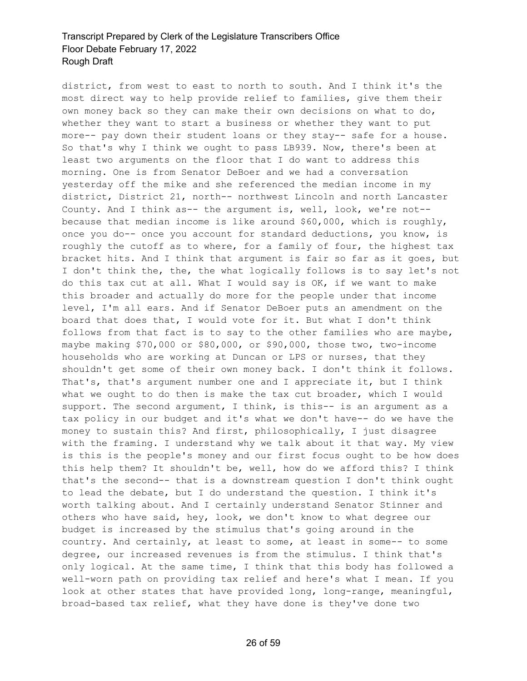district, from west to east to north to south. And I think it's the most direct way to help provide relief to families, give them their own money back so they can make their own decisions on what to do, whether they want to start a business or whether they want to put more-- pay down their student loans or they stay-- safe for a house. So that's why I think we ought to pass LB939. Now, there's been at least two arguments on the floor that I do want to address this morning. One is from Senator DeBoer and we had a conversation yesterday off the mike and she referenced the median income in my district, District 21, north-- northwest Lincoln and north Lancaster County. And I think as-- the argument is, well, look, we're not- because that median income is like around \$60,000, which is roughly, once you do-- once you account for standard deductions, you know, is roughly the cutoff as to where, for a family of four, the highest tax bracket hits. And I think that argument is fair so far as it goes, but I don't think the, the, the what logically follows is to say let's not do this tax cut at all. What I would say is OK, if we want to make this broader and actually do more for the people under that income level, I'm all ears. And if Senator DeBoer puts an amendment on the board that does that, I would vote for it. But what I don't think follows from that fact is to say to the other families who are maybe, maybe making \$70,000 or \$80,000, or \$90,000, those two, two-income households who are working at Duncan or LPS or nurses, that they shouldn't get some of their own money back. I don't think it follows. That's, that's argument number one and I appreciate it, but I think what we ought to do then is make the tax cut broader, which I would support. The second argument, I think, is this-- is an argument as a tax policy in our budget and it's what we don't have-- do we have the money to sustain this? And first, philosophically, I just disagree with the framing. I understand why we talk about it that way. My view is this is the people's money and our first focus ought to be how does this help them? It shouldn't be, well, how do we afford this? I think that's the second-- that is a downstream question I don't think ought to lead the debate, but I do understand the question. I think it's worth talking about. And I certainly understand Senator Stinner and others who have said, hey, look, we don't know to what degree our budget is increased by the stimulus that's going around in the country. And certainly, at least to some, at least in some-- to some degree, our increased revenues is from the stimulus. I think that's only logical. At the same time, I think that this body has followed a well-worn path on providing tax relief and here's what I mean. If you look at other states that have provided long, long-range, meaningful, broad-based tax relief, what they have done is they've done two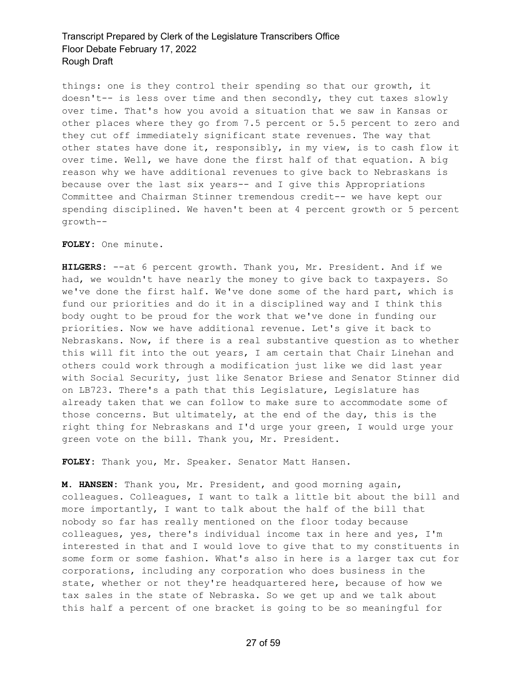things: one is they control their spending so that our growth, it doesn't-- is less over time and then secondly, they cut taxes slowly over time. That's how you avoid a situation that we saw in Kansas or other places where they go from 7.5 percent or 5.5 percent to zero and they cut off immediately significant state revenues. The way that other states have done it, responsibly, in my view, is to cash flow it over time. Well, we have done the first half of that equation. A big reason why we have additional revenues to give back to Nebraskans is because over the last six years-- and I give this Appropriations Committee and Chairman Stinner tremendous credit-- we have kept our spending disciplined. We haven't been at 4 percent growth or 5 percent growth--

**FOLEY:** One minute.

**HILGERS:** --at 6 percent growth. Thank you, Mr. President. And if we had, we wouldn't have nearly the money to give back to taxpayers. So we've done the first half. We've done some of the hard part, which is fund our priorities and do it in a disciplined way and I think this body ought to be proud for the work that we've done in funding our priorities. Now we have additional revenue. Let's give it back to Nebraskans. Now, if there is a real substantive question as to whether this will fit into the out years, I am certain that Chair Linehan and others could work through a modification just like we did last year with Social Security, just like Senator Briese and Senator Stinner did on LB723. There's a path that this Legislature, Legislature has already taken that we can follow to make sure to accommodate some of those concerns. But ultimately, at the end of the day, this is the right thing for Nebraskans and I'd urge your green, I would urge your green vote on the bill. Thank you, Mr. President.

**FOLEY:** Thank you, Mr. Speaker. Senator Matt Hansen.

**M. HANSEN:** Thank you, Mr. President, and good morning again, colleagues. Colleagues, I want to talk a little bit about the bill and more importantly, I want to talk about the half of the bill that nobody so far has really mentioned on the floor today because colleagues, yes, there's individual income tax in here and yes, I'm interested in that and I would love to give that to my constituents in some form or some fashion. What's also in here is a larger tax cut for corporations, including any corporation who does business in the state, whether or not they're headquartered here, because of how we tax sales in the state of Nebraska. So we get up and we talk about this half a percent of one bracket is going to be so meaningful for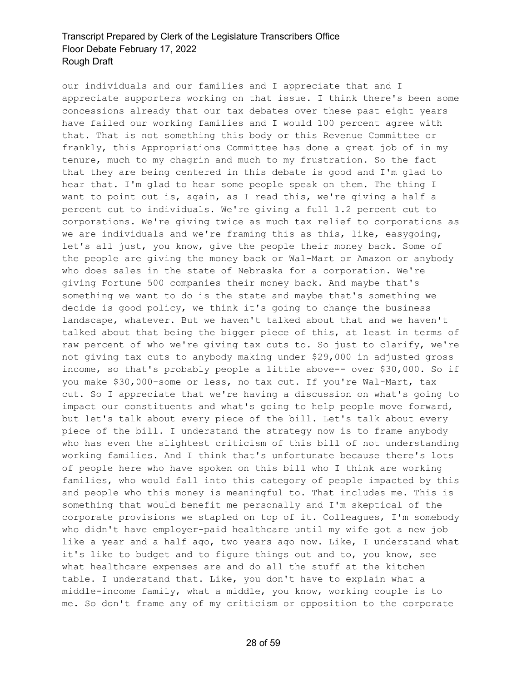our individuals and our families and I appreciate that and I appreciate supporters working on that issue. I think there's been some concessions already that our tax debates over these past eight years have failed our working families and I would 100 percent agree with that. That is not something this body or this Revenue Committee or frankly, this Appropriations Committee has done a great job of in my tenure, much to my chagrin and much to my frustration. So the fact that they are being centered in this debate is good and I'm glad to hear that. I'm glad to hear some people speak on them. The thing I want to point out is, again, as I read this, we're giving a half a percent cut to individuals. We're giving a full 1.2 percent cut to corporations. We're giving twice as much tax relief to corporations as we are individuals and we're framing this as this, like, easygoing, let's all just, you know, give the people their money back. Some of the people are giving the money back or Wal-Mart or Amazon or anybody who does sales in the state of Nebraska for a corporation. We're giving Fortune 500 companies their money back. And maybe that's something we want to do is the state and maybe that's something we decide is good policy, we think it's going to change the business landscape, whatever. But we haven't talked about that and we haven't talked about that being the bigger piece of this, at least in terms of raw percent of who we're giving tax cuts to. So just to clarify, we're not giving tax cuts to anybody making under \$29,000 in adjusted gross income, so that's probably people a little above-- over \$30,000. So if you make \$30,000-some or less, no tax cut. If you're Wal-Mart, tax cut. So I appreciate that we're having a discussion on what's going to impact our constituents and what's going to help people move forward, but let's talk about every piece of the bill. Let's talk about every piece of the bill. I understand the strategy now is to frame anybody who has even the slightest criticism of this bill of not understanding working families. And I think that's unfortunate because there's lots of people here who have spoken on this bill who I think are working families, who would fall into this category of people impacted by this and people who this money is meaningful to. That includes me. This is something that would benefit me personally and I'm skeptical of the corporate provisions we stapled on top of it. Colleagues, I'm somebody who didn't have employer-paid healthcare until my wife got a new job like a year and a half ago, two years ago now. Like, I understand what it's like to budget and to figure things out and to, you know, see what healthcare expenses are and do all the stuff at the kitchen table. I understand that. Like, you don't have to explain what a middle-income family, what a middle, you know, working couple is to me. So don't frame any of my criticism or opposition to the corporate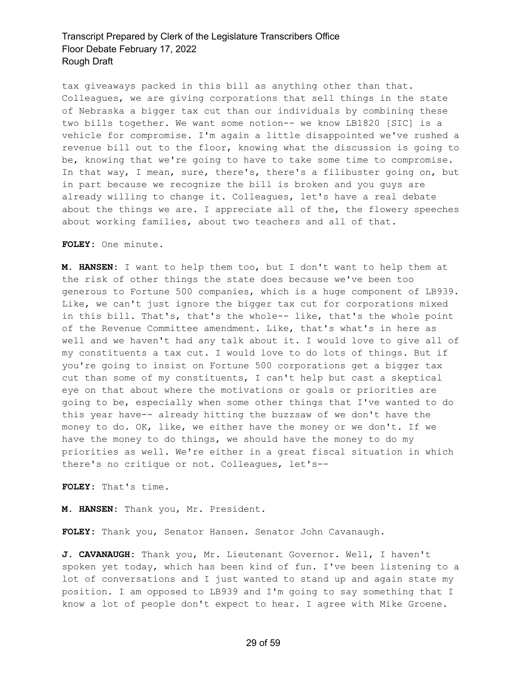tax giveaways packed in this bill as anything other than that. Colleagues, we are giving corporations that sell things in the state of Nebraska a bigger tax cut than our individuals by combining these two bills together. We want some notion-- we know LB1820 [SIC] is a vehicle for compromise. I'm again a little disappointed we've rushed a revenue bill out to the floor, knowing what the discussion is going to be, knowing that we're going to have to take some time to compromise. In that way, I mean, sure, there's, there's a filibuster going on, but in part because we recognize the bill is broken and you guys are already willing to change it. Colleagues, let's have a real debate about the things we are. I appreciate all of the, the flowery speeches about working families, about two teachers and all of that.

#### **FOLEY:** One minute.

**M. HANSEN:** I want to help them too, but I don't want to help them at the risk of other things the state does because we've been too generous to Fortune 500 companies, which is a huge component of LB939. Like, we can't just ignore the bigger tax cut for corporations mixed in this bill. That's, that's the whole-- like, that's the whole point of the Revenue Committee amendment. Like, that's what's in here as well and we haven't had any talk about it. I would love to give all of my constituents a tax cut. I would love to do lots of things. But if you're going to insist on Fortune 500 corporations get a bigger tax cut than some of my constituents, I can't help but cast a skeptical eye on that about where the motivations or goals or priorities are going to be, especially when some other things that I've wanted to do this year have-- already hitting the buzzsaw of we don't have the money to do. OK, like, we either have the money or we don't. If we have the money to do things, we should have the money to do my priorities as well. We're either in a great fiscal situation in which there's no critique or not. Colleagues, let's--

**FOLEY:** That's time.

**M. HANSEN:** Thank you, Mr. President.

**FOLEY:** Thank you, Senator Hansen. Senator John Cavanaugh.

**J. CAVANAUGH:** Thank you, Mr. Lieutenant Governor. Well, I haven't spoken yet today, which has been kind of fun. I've been listening to a lot of conversations and I just wanted to stand up and again state my position. I am opposed to LB939 and I'm going to say something that I know a lot of people don't expect to hear. I agree with Mike Groene.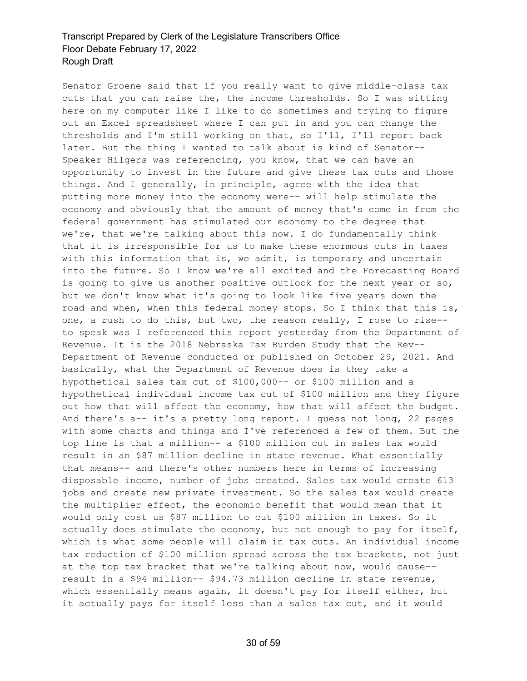Senator Groene said that if you really want to give middle-class tax cuts that you can raise the, the income thresholds. So I was sitting here on my computer like I like to do sometimes and trying to figure out an Excel spreadsheet where I can put in and you can change the thresholds and I'm still working on that, so I'll, I'll report back later. But the thing I wanted to talk about is kind of Senator-- Speaker Hilgers was referencing, you know, that we can have an opportunity to invest in the future and give these tax cuts and those things. And I generally, in principle, agree with the idea that putting more money into the economy were-- will help stimulate the economy and obviously that the amount of money that's come in from the federal government has stimulated our economy to the degree that we're, that we're talking about this now. I do fundamentally think that it is irresponsible for us to make these enormous cuts in taxes with this information that is, we admit, is temporary and uncertain into the future. So I know we're all excited and the Forecasting Board is going to give us another positive outlook for the next year or so, but we don't know what it's going to look like five years down the road and when, when this federal money stops. So I think that this is, one, a rush to do this, but two, the reason really, I rose to rise- to speak was I referenced this report yesterday from the Department of Revenue. It is the 2018 Nebraska Tax Burden Study that the Rev-- Department of Revenue conducted or published on October 29, 2021. And basically, what the Department of Revenue does is they take a hypothetical sales tax cut of \$100,000-- or \$100 million and a hypothetical individual income tax cut of \$100 million and they figure out how that will affect the economy, how that will affect the budget. And there's a-- it's a pretty long report. I guess not long, 22 pages with some charts and things and I've referenced a few of them. But the top line is that a million-- a \$100 million cut in sales tax would result in an \$87 million decline in state revenue. What essentially that means-- and there's other numbers here in terms of increasing disposable income, number of jobs created. Sales tax would create 613 jobs and create new private investment. So the sales tax would create the multiplier effect, the economic benefit that would mean that it would only cost us \$87 million to cut \$100 million in taxes. So it actually does stimulate the economy, but not enough to pay for itself, which is what some people will claim in tax cuts. An individual income tax reduction of \$100 million spread across the tax brackets, not just at the top tax bracket that we're talking about now, would cause- result in a \$94 million-- \$94.73 million decline in state revenue, which essentially means again, it doesn't pay for itself either, but it actually pays for itself less than a sales tax cut, and it would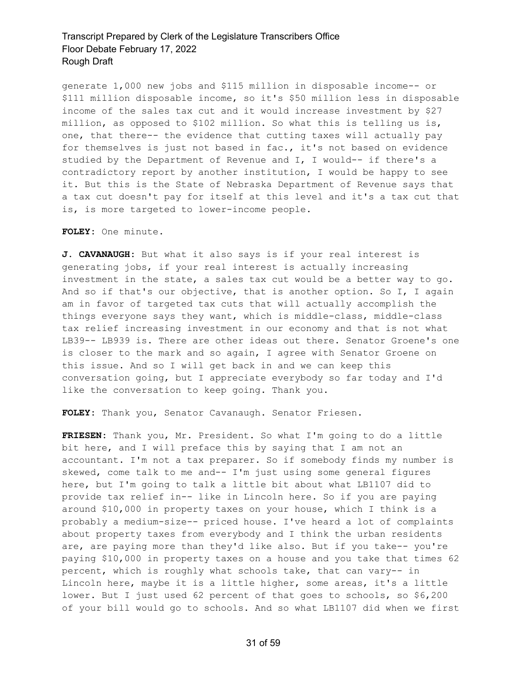generate 1,000 new jobs and \$115 million in disposable income-- or \$111 million disposable income, so it's \$50 million less in disposable income of the sales tax cut and it would increase investment by \$27 million, as opposed to \$102 million. So what this is telling us is, one, that there-- the evidence that cutting taxes will actually pay for themselves is just not based in fac., it's not based on evidence studied by the Department of Revenue and I, I would-- if there's a contradictory report by another institution, I would be happy to see it. But this is the State of Nebraska Department of Revenue says that a tax cut doesn't pay for itself at this level and it's a tax cut that is, is more targeted to lower-income people.

#### **FOLEY:** One minute.

**J. CAVANAUGH:** But what it also says is if your real interest is generating jobs, if your real interest is actually increasing investment in the state, a sales tax cut would be a better way to go. And so if that's our objective, that is another option. So I, I again am in favor of targeted tax cuts that will actually accomplish the things everyone says they want, which is middle-class, middle-class tax relief increasing investment in our economy and that is not what LB39-- LB939 is. There are other ideas out there. Senator Groene's one is closer to the mark and so again, I agree with Senator Groene on this issue. And so I will get back in and we can keep this conversation going, but I appreciate everybody so far today and I'd like the conversation to keep going. Thank you.

**FOLEY:** Thank you, Senator Cavanaugh. Senator Friesen.

**FRIESEN:** Thank you, Mr. President. So what I'm going to do a little bit here, and I will preface this by saying that I am not an accountant. I'm not a tax preparer. So if somebody finds my number is skewed, come talk to me and-- I'm just using some general figures here, but I'm going to talk a little bit about what LB1107 did to provide tax relief in-- like in Lincoln here. So if you are paying around \$10,000 in property taxes on your house, which I think is a probably a medium-size-- priced house. I've heard a lot of complaints about property taxes from everybody and I think the urban residents are, are paying more than they'd like also. But if you take-- you're paying \$10,000 in property taxes on a house and you take that times 62 percent, which is roughly what schools take, that can vary-- in Lincoln here, maybe it is a little higher, some areas, it's a little lower. But I just used 62 percent of that goes to schools, so \$6,200 of your bill would go to schools. And so what LB1107 did when we first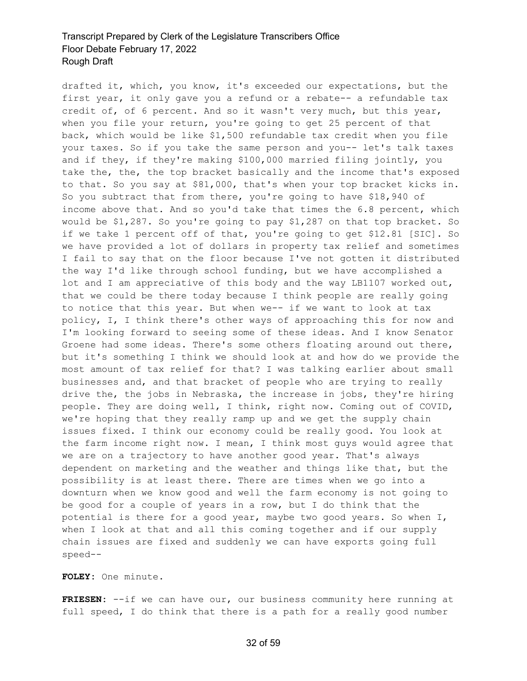drafted it, which, you know, it's exceeded our expectations, but the first year, it only gave you a refund or a rebate-- a refundable tax credit of, of 6 percent. And so it wasn't very much, but this year, when you file your return, you're going to get 25 percent of that back, which would be like \$1,500 refundable tax credit when you file your taxes. So if you take the same person and you-- let's talk taxes and if they, if they're making \$100,000 married filing jointly, you take the, the, the top bracket basically and the income that's exposed to that. So you say at \$81,000, that's when your top bracket kicks in. So you subtract that from there, you're going to have \$18,940 of income above that. And so you'd take that times the 6.8 percent, which would be \$1,287. So you're going to pay \$1,287 on that top bracket. So if we take 1 percent off of that, you're going to get \$12.81 [SIC]. So we have provided a lot of dollars in property tax relief and sometimes I fail to say that on the floor because I've not gotten it distributed the way I'd like through school funding, but we have accomplished a lot and I am appreciative of this body and the way LB1107 worked out, that we could be there today because I think people are really going to notice that this year. But when we-- if we want to look at tax policy, I, I think there's other ways of approaching this for now and I'm looking forward to seeing some of these ideas. And I know Senator Groene had some ideas. There's some others floating around out there, but it's something I think we should look at and how do we provide the most amount of tax relief for that? I was talking earlier about small businesses and, and that bracket of people who are trying to really drive the, the jobs in Nebraska, the increase in jobs, they're hiring people. They are doing well, I think, right now. Coming out of COVID, we're hoping that they really ramp up and we get the supply chain issues fixed. I think our economy could be really good. You look at the farm income right now. I mean, I think most guys would agree that we are on a trajectory to have another good year. That's always dependent on marketing and the weather and things like that, but the possibility is at least there. There are times when we go into a downturn when we know good and well the farm economy is not going to be good for a couple of years in a row, but I do think that the potential is there for a good year, maybe two good years. So when I, when I look at that and all this coming together and if our supply chain issues are fixed and suddenly we can have exports going full speed--

#### **FOLEY:** One minute.

**FRIESEN:** --if we can have our, our business community here running at full speed, I do think that there is a path for a really good number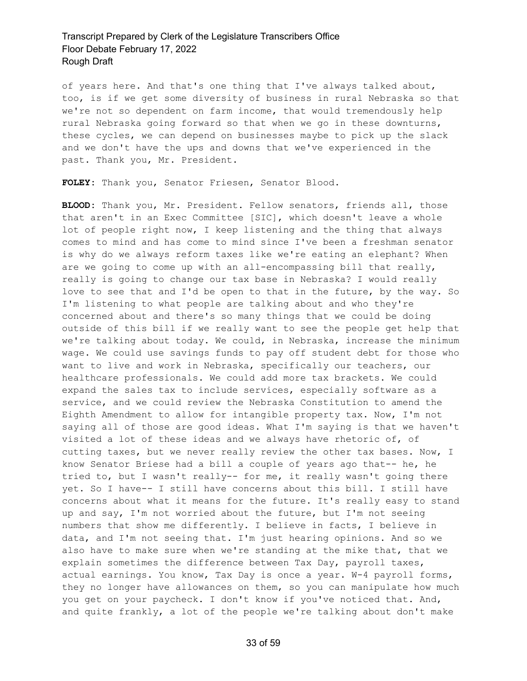of years here. And that's one thing that I've always talked about, too, is if we get some diversity of business in rural Nebraska so that we're not so dependent on farm income, that would tremendously help rural Nebraska going forward so that when we go in these downturns, these cycles, we can depend on businesses maybe to pick up the slack and we don't have the ups and downs that we've experienced in the past. Thank you, Mr. President.

**FOLEY:** Thank you, Senator Friesen, Senator Blood.

**BLOOD:** Thank you, Mr. President. Fellow senators, friends all, those that aren't in an Exec Committee [SIC], which doesn't leave a whole lot of people right now, I keep listening and the thing that always comes to mind and has come to mind since I've been a freshman senator is why do we always reform taxes like we're eating an elephant? When are we going to come up with an all-encompassing bill that really, really is going to change our tax base in Nebraska? I would really love to see that and I'd be open to that in the future, by the way. So I'm listening to what people are talking about and who they're concerned about and there's so many things that we could be doing outside of this bill if we really want to see the people get help that we're talking about today. We could, in Nebraska, increase the minimum wage. We could use savings funds to pay off student debt for those who want to live and work in Nebraska, specifically our teachers, our healthcare professionals. We could add more tax brackets. We could expand the sales tax to include services, especially software as a service, and we could review the Nebraska Constitution to amend the Eighth Amendment to allow for intangible property tax. Now, I'm not saying all of those are good ideas. What I'm saying is that we haven't visited a lot of these ideas and we always have rhetoric of, of cutting taxes, but we never really review the other tax bases. Now, I know Senator Briese had a bill a couple of years ago that-- he, he tried to, but I wasn't really-- for me, it really wasn't going there yet. So I have-- I still have concerns about this bill. I still have concerns about what it means for the future. It's really easy to stand up and say, I'm not worried about the future, but I'm not seeing numbers that show me differently. I believe in facts, I believe in data, and I'm not seeing that. I'm just hearing opinions. And so we also have to make sure when we're standing at the mike that, that we explain sometimes the difference between Tax Day, payroll taxes, actual earnings. You know, Tax Day is once a year. W-4 payroll forms, they no longer have allowances on them, so you can manipulate how much you get on your paycheck. I don't know if you've noticed that. And, and quite frankly, a lot of the people we're talking about don't make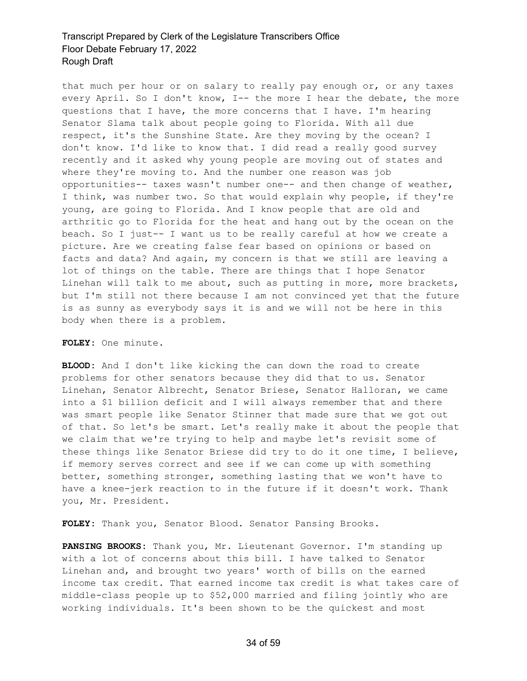that much per hour or on salary to really pay enough or, or any taxes every April. So I don't know, I-- the more I hear the debate, the more questions that I have, the more concerns that I have. I'm hearing Senator Slama talk about people going to Florida. With all due respect, it's the Sunshine State. Are they moving by the ocean? I don't know. I'd like to know that. I did read a really good survey recently and it asked why young people are moving out of states and where they're moving to. And the number one reason was job opportunities-- taxes wasn't number one-- and then change of weather, I think, was number two. So that would explain why people, if they're young, are going to Florida. And I know people that are old and arthritic go to Florida for the heat and hang out by the ocean on the beach. So I just-- I want us to be really careful at how we create a picture. Are we creating false fear based on opinions or based on facts and data? And again, my concern is that we still are leaving a lot of things on the table. There are things that I hope Senator Linehan will talk to me about, such as putting in more, more brackets, but I'm still not there because I am not convinced yet that the future is as sunny as everybody says it is and we will not be here in this body when there is a problem.

#### **FOLEY:** One minute.

**BLOOD:** And I don't like kicking the can down the road to create problems for other senators because they did that to us. Senator Linehan, Senator Albrecht, Senator Briese, Senator Halloran, we came into a \$1 billion deficit and I will always remember that and there was smart people like Senator Stinner that made sure that we got out of that. So let's be smart. Let's really make it about the people that we claim that we're trying to help and maybe let's revisit some of these things like Senator Briese did try to do it one time, I believe, if memory serves correct and see if we can come up with something better, something stronger, something lasting that we won't have to have a knee-jerk reaction to in the future if it doesn't work. Thank you, Mr. President.

**FOLEY:** Thank you, Senator Blood. Senator Pansing Brooks.

**PANSING BROOKS:** Thank you, Mr. Lieutenant Governor. I'm standing up with a lot of concerns about this bill. I have talked to Senator Linehan and, and brought two years' worth of bills on the earned income tax credit. That earned income tax credit is what takes care of middle-class people up to \$52,000 married and filing jointly who are working individuals. It's been shown to be the quickest and most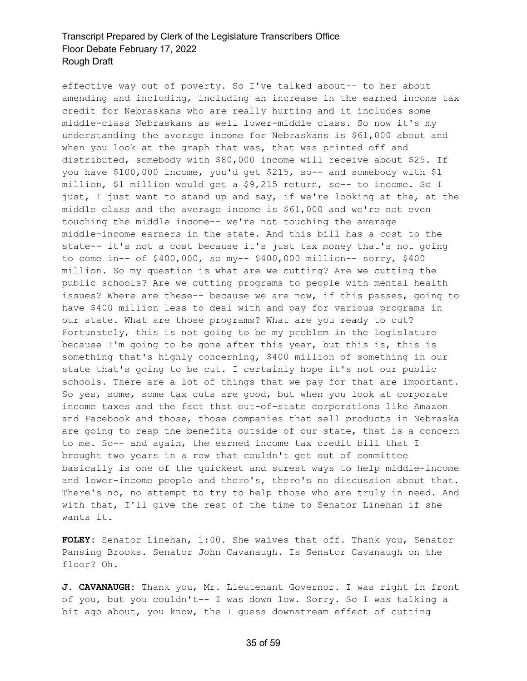effective way out of poverty. So I've talked about-- to her about amending and including, including an increase in the earned income tax credit for Nebraskans who are really hurting and it includes some middle-class Nebraskans as well lower-middle class. So now it's my understanding the average income for Nebraskans is \$61,000 about and when you look at the graph that was, that was printed off and distributed, somebody with \$80,000 income will receive about \$25. If you have \$100,000 income, you'd get \$215, so-- and somebody with \$1 million, \$1 million would get a \$9,215 return, so-- to income. So I just, I just want to stand up and say, if we're looking at the, at the middle class and the average income is \$61,000 and we're not even touching the middle income-- we're not touching the average middle-income earners in the state. And this bill has a cost to the state-- it's not a cost because it's just tax money that's not going to come in-- of \$400,000, so my-- \$400,000 million-- sorry, \$400 million. So my question is what are we cutting? Are we cutting the public schools? Are we cutting programs to people with mental health issues? Where are these-- because we are now, if this passes, going to have \$400 million less to deal with and pay for various programs in our state. What are those programs? What are you ready to cut? Fortunately, this is not going to be my problem in the Legislature because I'm going to be gone after this year, but this is, this is something that's highly concerning, \$400 million of something in our state that's going to be cut. I certainly hope it's not our public schools. There are a lot of things that we pay for that are important. So yes, some, some tax cuts are good, but when you look at corporate income taxes and the fact that out-of-state corporations like Amazon and Facebook and those, those companies that sell products in Nebraska are going to reap the benefits outside of our state, that is a concern to me. So-- and again, the earned income tax credit bill that I brought two years in a row that couldn't get out of committee basically is one of the quickest and surest ways to help middle-income and lower-income people and there's, there's no discussion about that. There's no, no attempt to try to help those who are truly in need. And with that, I'll give the rest of the time to Senator Linehan if she wants it.

**FOLEY:** Senator Linehan, 1:00. She waives that off. Thank you, Senator Pansing Brooks. Senator John Cavanaugh. Is Senator Cavanaugh on the floor? Oh.

**J. CAVANAUGH:** Thank you, Mr. Lieutenant Governor. I was right in front of you, but you couldn't-- I was down low. Sorry. So I was talking a bit ago about, you know, the I guess downstream effect of cutting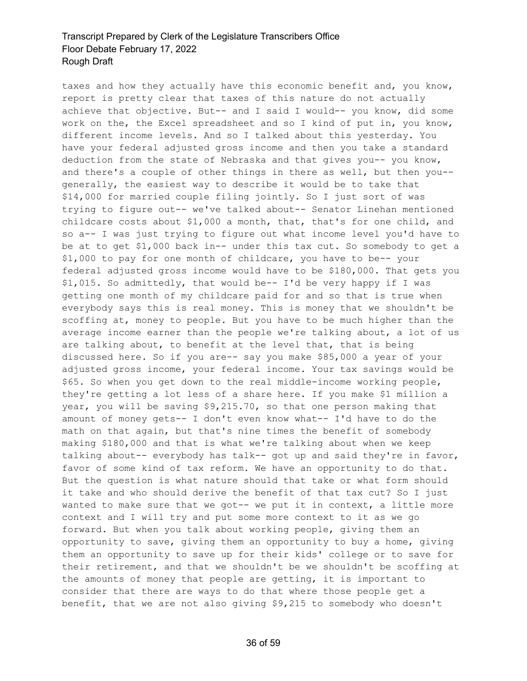taxes and how they actually have this economic benefit and, you know, report is pretty clear that taxes of this nature do not actually achieve that objective. But-- and I said I would-- you know, did some work on the, the Excel spreadsheet and so I kind of put in, you know, different income levels. And so I talked about this yesterday. You have your federal adjusted gross income and then you take a standard deduction from the state of Nebraska and that gives you-- you know, and there's a couple of other things in there as well, but then you- generally, the easiest way to describe it would be to take that \$14,000 for married couple filing jointly. So I just sort of was trying to figure out-- we've talked about-- Senator Linehan mentioned childcare costs about \$1,000 a month, that, that's for one child, and so a-- I was just trying to figure out what income level you'd have to be at to get \$1,000 back in-- under this tax cut. So somebody to get a \$1,000 to pay for one month of childcare, you have to be-- your federal adjusted gross income would have to be \$180,000. That gets you \$1,015. So admittedly, that would be-- I'd be very happy if I was getting one month of my childcare paid for and so that is true when everybody says this is real money. This is money that we shouldn't be scoffing at, money to people. But you have to be much higher than the average income earner than the people we're talking about, a lot of us are talking about, to benefit at the level that, that is being discussed here. So if you are-- say you make \$85,000 a year of your adjusted gross income, your federal income. Your tax savings would be \$65. So when you get down to the real middle-income working people, they're getting a lot less of a share here. If you make \$1 million a year, you will be saving \$9,215.70, so that one person making that amount of money gets-- I don't even know what-- I'd have to do the math on that again, but that's nine times the benefit of somebody making \$180,000 and that is what we're talking about when we keep talking about-- everybody has talk-- got up and said they're in favor, favor of some kind of tax reform. We have an opportunity to do that. But the question is what nature should that take or what form should it take and who should derive the benefit of that tax cut? So I just wanted to make sure that we got-- we put it in context, a little more context and I will try and put some more context to it as we go forward. But when you talk about working people, giving them an opportunity to save, giving them an opportunity to buy a home, giving them an opportunity to save up for their kids' college or to save for their retirement, and that we shouldn't be we shouldn't be scoffing at the amounts of money that people are getting, it is important to consider that there are ways to do that where those people get a benefit, that we are not also giving \$9,215 to somebody who doesn't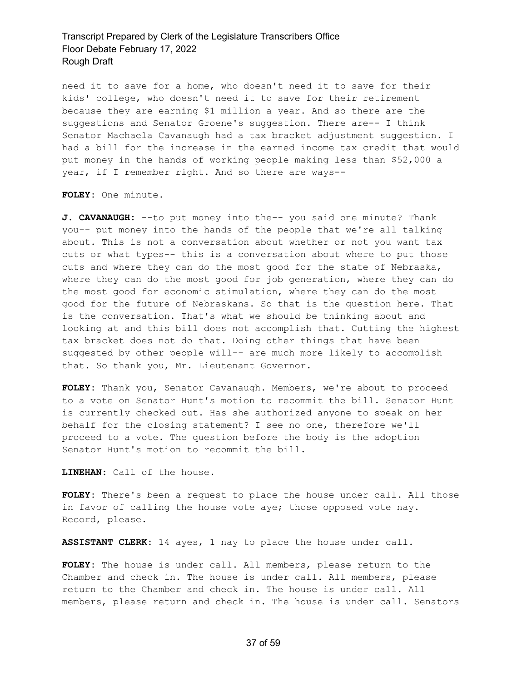need it to save for a home, who doesn't need it to save for their kids' college, who doesn't need it to save for their retirement because they are earning \$1 million a year. And so there are the suggestions and Senator Groene's suggestion. There are-- I think Senator Machaela Cavanaugh had a tax bracket adjustment suggestion. I had a bill for the increase in the earned income tax credit that would put money in the hands of working people making less than \$52,000 a year, if I remember right. And so there are ways--

**FOLEY:** One minute.

**J. CAVANAUGH:** --to put money into the-- you said one minute? Thank you-- put money into the hands of the people that we're all talking about. This is not a conversation about whether or not you want tax cuts or what types-- this is a conversation about where to put those cuts and where they can do the most good for the state of Nebraska, where they can do the most good for job generation, where they can do the most good for economic stimulation, where they can do the most good for the future of Nebraskans. So that is the question here. That is the conversation. That's what we should be thinking about and looking at and this bill does not accomplish that. Cutting the highest tax bracket does not do that. Doing other things that have been suggested by other people will-- are much more likely to accomplish that. So thank you, Mr. Lieutenant Governor.

**FOLEY:** Thank you, Senator Cavanaugh. Members, we're about to proceed to a vote on Senator Hunt's motion to recommit the bill. Senator Hunt is currently checked out. Has she authorized anyone to speak on her behalf for the closing statement? I see no one, therefore we'll proceed to a vote. The question before the body is the adoption Senator Hunt's motion to recommit the bill.

**LINEHAN:** Call of the house.

**FOLEY:** There's been a request to place the house under call. All those in favor of calling the house vote aye; those opposed vote nay. Record, please.

**ASSISTANT CLERK:** 14 ayes, 1 nay to place the house under call.

**FOLEY:** The house is under call. All members, please return to the Chamber and check in. The house is under call. All members, please return to the Chamber and check in. The house is under call. All members, please return and check in. The house is under call. Senators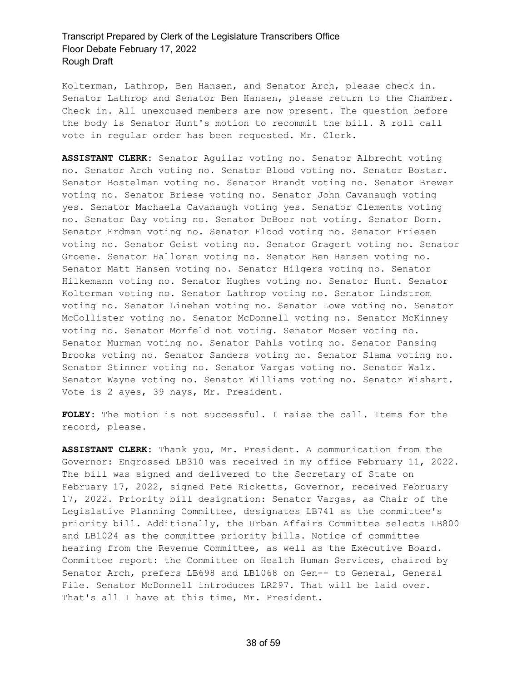Kolterman, Lathrop, Ben Hansen, and Senator Arch, please check in. Senator Lathrop and Senator Ben Hansen, please return to the Chamber. Check in. All unexcused members are now present. The question before the body is Senator Hunt's motion to recommit the bill. A roll call vote in regular order has been requested. Mr. Clerk.

**ASSISTANT CLERK:** Senator Aguilar voting no. Senator Albrecht voting no. Senator Arch voting no. Senator Blood voting no. Senator Bostar. Senator Bostelman voting no. Senator Brandt voting no. Senator Brewer voting no. Senator Briese voting no. Senator John Cavanaugh voting yes. Senator Machaela Cavanaugh voting yes. Senator Clements voting no. Senator Day voting no. Senator DeBoer not voting. Senator Dorn. Senator Erdman voting no. Senator Flood voting no. Senator Friesen voting no. Senator Geist voting no. Senator Gragert voting no. Senator Groene. Senator Halloran voting no. Senator Ben Hansen voting no. Senator Matt Hansen voting no. Senator Hilgers voting no. Senator Hilkemann voting no. Senator Hughes voting no. Senator Hunt. Senator Kolterman voting no. Senator Lathrop voting no. Senator Lindstrom voting no. Senator Linehan voting no. Senator Lowe voting no. Senator McCollister voting no. Senator McDonnell voting no. Senator McKinney voting no. Senator Morfeld not voting. Senator Moser voting no. Senator Murman voting no. Senator Pahls voting no. Senator Pansing Brooks voting no. Senator Sanders voting no. Senator Slama voting no. Senator Stinner voting no. Senator Vargas voting no. Senator Walz. Senator Wayne voting no. Senator Williams voting no. Senator Wishart. Vote is 2 ayes, 39 nays, Mr. President.

**FOLEY:** The motion is not successful. I raise the call. Items for the record, please.

**ASSISTANT CLERK:** Thank you, Mr. President. A communication from the Governor: Engrossed LB310 was received in my office February 11, 2022. The bill was signed and delivered to the Secretary of State on February 17, 2022, signed Pete Ricketts, Governor, received February 17, 2022. Priority bill designation: Senator Vargas, as Chair of the Legislative Planning Committee, designates LB741 as the committee's priority bill. Additionally, the Urban Affairs Committee selects LB800 and LB1024 as the committee priority bills. Notice of committee hearing from the Revenue Committee, as well as the Executive Board. Committee report: the Committee on Health Human Services, chaired by Senator Arch, prefers LB698 and LB1068 on Gen-- to General, General File. Senator McDonnell introduces LR297. That will be laid over. That's all I have at this time, Mr. President.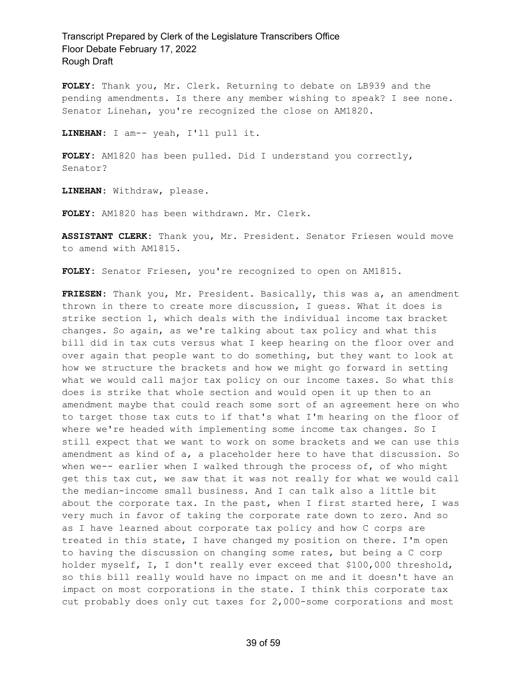**FOLEY:** Thank you, Mr. Clerk. Returning to debate on LB939 and the pending amendments. Is there any member wishing to speak? I see none. Senator Linehan, you're recognized the close on AM1820.

**LINEHAN:** I am-- yeah, I'll pull it.

**FOLEY:** AM1820 has been pulled. Did I understand you correctly, Senator?

**LINEHAN:** Withdraw, please.

**FOLEY:** AM1820 has been withdrawn. Mr. Clerk.

**ASSISTANT CLERK:** Thank you, Mr. President. Senator Friesen would move to amend with AM1815.

**FOLEY:** Senator Friesen, you're recognized to open on AM1815.

**FRIESEN:** Thank you, Mr. President. Basically, this was a, an amendment thrown in there to create more discussion, I guess. What it does is strike section 1, which deals with the individual income tax bracket changes. So again, as we're talking about tax policy and what this bill did in tax cuts versus what I keep hearing on the floor over and over again that people want to do something, but they want to look at how we structure the brackets and how we might go forward in setting what we would call major tax policy on our income taxes. So what this does is strike that whole section and would open it up then to an amendment maybe that could reach some sort of an agreement here on who to target those tax cuts to if that's what I'm hearing on the floor of where we're headed with implementing some income tax changes. So I still expect that we want to work on some brackets and we can use this amendment as kind of a, a placeholder here to have that discussion. So when we-- earlier when I walked through the process of, of who might get this tax cut, we saw that it was not really for what we would call the median-income small business. And I can talk also a little bit about the corporate tax. In the past, when I first started here, I was very much in favor of taking the corporate rate down to zero. And so as I have learned about corporate tax policy and how C corps are treated in this state, I have changed my position on there. I'm open to having the discussion on changing some rates, but being a C corp holder myself, I, I don't really ever exceed that \$100,000 threshold, so this bill really would have no impact on me and it doesn't have an impact on most corporations in the state. I think this corporate tax cut probably does only cut taxes for 2,000-some corporations and most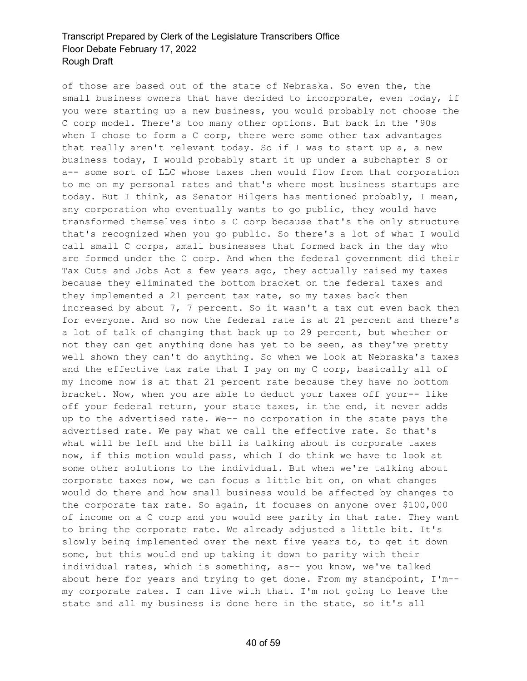of those are based out of the state of Nebraska. So even the, the small business owners that have decided to incorporate, even today, if you were starting up a new business, you would probably not choose the C corp model. There's too many other options. But back in the '90s when I chose to form a C corp, there were some other tax advantages that really aren't relevant today. So if I was to start up a, a new business today, I would probably start it up under a subchapter S or a-- some sort of LLC whose taxes then would flow from that corporation to me on my personal rates and that's where most business startups are today. But I think, as Senator Hilgers has mentioned probably, I mean, any corporation who eventually wants to go public, they would have transformed themselves into a C corp because that's the only structure that's recognized when you go public. So there's a lot of what I would call small C corps, small businesses that formed back in the day who are formed under the C corp. And when the federal government did their Tax Cuts and Jobs Act a few years ago, they actually raised my taxes because they eliminated the bottom bracket on the federal taxes and they implemented a 21 percent tax rate, so my taxes back then increased by about 7, 7 percent. So it wasn't a tax cut even back then for everyone. And so now the federal rate is at 21 percent and there's a lot of talk of changing that back up to 29 percent, but whether or not they can get anything done has yet to be seen, as they've pretty well shown they can't do anything. So when we look at Nebraska's taxes and the effective tax rate that I pay on my C corp, basically all of my income now is at that 21 percent rate because they have no bottom bracket. Now, when you are able to deduct your taxes off your-- like off your federal return, your state taxes, in the end, it never adds up to the advertised rate. We-- no corporation in the state pays the advertised rate. We pay what we call the effective rate. So that's what will be left and the bill is talking about is corporate taxes now, if this motion would pass, which I do think we have to look at some other solutions to the individual. But when we're talking about corporate taxes now, we can focus a little bit on, on what changes would do there and how small business would be affected by changes to the corporate tax rate. So again, it focuses on anyone over \$100,000 of income on a C corp and you would see parity in that rate. They want to bring the corporate rate. We already adjusted a little bit. It's slowly being implemented over the next five years to, to get it down some, but this would end up taking it down to parity with their individual rates, which is something, as-- you know, we've talked about here for years and trying to get done. From my standpoint, I'm- my corporate rates. I can live with that. I'm not going to leave the state and all my business is done here in the state, so it's all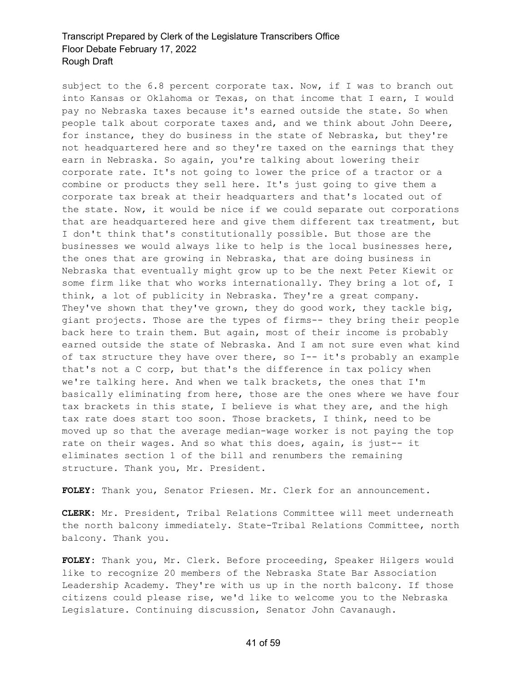subject to the 6.8 percent corporate tax. Now, if I was to branch out into Kansas or Oklahoma or Texas, on that income that I earn, I would pay no Nebraska taxes because it's earned outside the state. So when people talk about corporate taxes and, and we think about John Deere, for instance, they do business in the state of Nebraska, but they're not headquartered here and so they're taxed on the earnings that they earn in Nebraska. So again, you're talking about lowering their corporate rate. It's not going to lower the price of a tractor or a combine or products they sell here. It's just going to give them a corporate tax break at their headquarters and that's located out of the state. Now, it would be nice if we could separate out corporations that are headquartered here and give them different tax treatment, but I don't think that's constitutionally possible. But those are the businesses we would always like to help is the local businesses here, the ones that are growing in Nebraska, that are doing business in Nebraska that eventually might grow up to be the next Peter Kiewit or some firm like that who works internationally. They bring a lot of, I think, a lot of publicity in Nebraska. They're a great company. They've shown that they've grown, they do good work, they tackle big, giant projects. Those are the types of firms-- they bring their people back here to train them. But again, most of their income is probably earned outside the state of Nebraska. And I am not sure even what kind of tax structure they have over there, so I-- it's probably an example that's not a C corp, but that's the difference in tax policy when we're talking here. And when we talk brackets, the ones that I'm basically eliminating from here, those are the ones where we have four tax brackets in this state, I believe is what they are, and the high tax rate does start too soon. Those brackets, I think, need to be moved up so that the average median-wage worker is not paying the top rate on their wages. And so what this does, again, is just-- it eliminates section 1 of the bill and renumbers the remaining structure. Thank you, Mr. President.

**FOLEY:** Thank you, Senator Friesen. Mr. Clerk for an announcement.

**CLERK:** Mr. President, Tribal Relations Committee will meet underneath the north balcony immediately. State-Tribal Relations Committee, north balcony. Thank you.

**FOLEY:** Thank you, Mr. Clerk. Before proceeding, Speaker Hilgers would like to recognize 20 members of the Nebraska State Bar Association Leadership Academy. They're with us up in the north balcony. If those citizens could please rise, we'd like to welcome you to the Nebraska Legislature. Continuing discussion, Senator John Cavanaugh.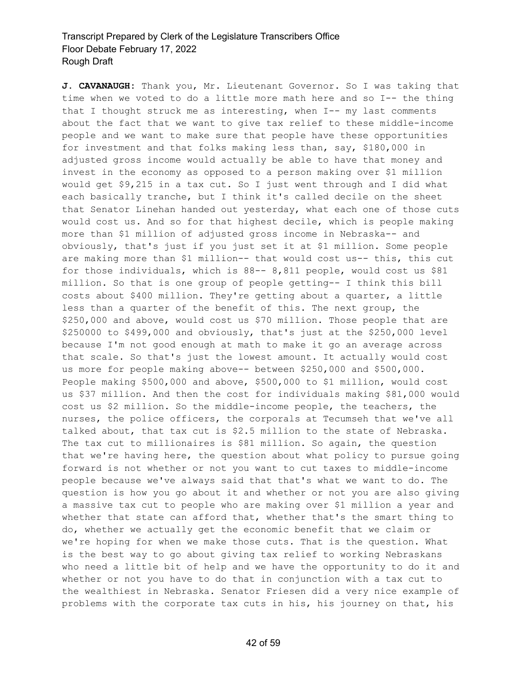**J. CAVANAUGH:** Thank you, Mr. Lieutenant Governor. So I was taking that time when we voted to do a little more math here and so I-- the thing that I thought struck me as interesting, when I-- my last comments about the fact that we want to give tax relief to these middle-income people and we want to make sure that people have these opportunities for investment and that folks making less than, say, \$180,000 in adjusted gross income would actually be able to have that money and invest in the economy as opposed to a person making over \$1 million would get \$9,215 in a tax cut. So I just went through and I did what each basically tranche, but I think it's called decile on the sheet that Senator Linehan handed out yesterday, what each one of those cuts would cost us. And so for that highest decile, which is people making more than \$1 million of adjusted gross income in Nebraska-- and obviously, that's just if you just set it at \$1 million. Some people are making more than \$1 million-- that would cost us-- this, this cut for those individuals, which is 88-- 8,811 people, would cost us \$81 million. So that is one group of people getting-- I think this bill costs about \$400 million. They're getting about a quarter, a little less than a quarter of the benefit of this. The next group, the \$250,000 and above, would cost us \$70 million. Those people that are \$250000 to \$499,000 and obviously, that's just at the \$250,000 level because I'm not good enough at math to make it go an average across that scale. So that's just the lowest amount. It actually would cost us more for people making above-- between \$250,000 and \$500,000. People making \$500,000 and above, \$500,000 to \$1 million, would cost us \$37 million. And then the cost for individuals making \$81,000 would cost us \$2 million. So the middle-income people, the teachers, the nurses, the police officers, the corporals at Tecumseh that we've all talked about, that tax cut is \$2.5 million to the state of Nebraska. The tax cut to millionaires is \$81 million. So again, the question that we're having here, the question about what policy to pursue going forward is not whether or not you want to cut taxes to middle-income people because we've always said that that's what we want to do. The question is how you go about it and whether or not you are also giving a massive tax cut to people who are making over \$1 million a year and whether that state can afford that, whether that's the smart thing to do, whether we actually get the economic benefit that we claim or we're hoping for when we make those cuts. That is the question. What is the best way to go about giving tax relief to working Nebraskans who need a little bit of help and we have the opportunity to do it and whether or not you have to do that in conjunction with a tax cut to the wealthiest in Nebraska. Senator Friesen did a very nice example of problems with the corporate tax cuts in his, his journey on that, his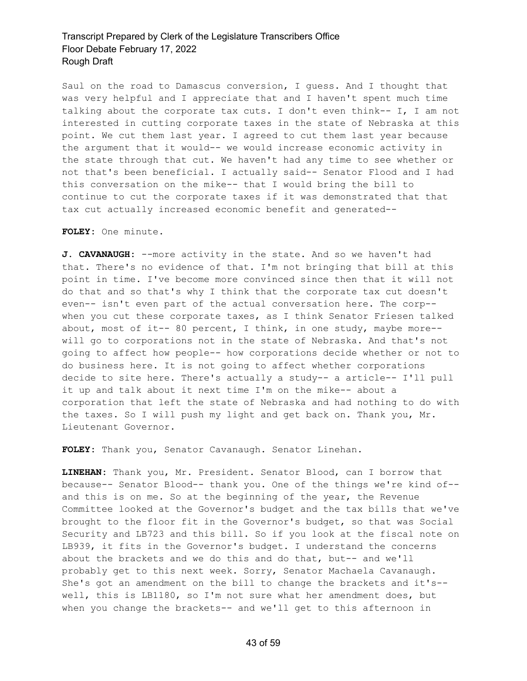Saul on the road to Damascus conversion, I guess. And I thought that was very helpful and I appreciate that and I haven't spent much time talking about the corporate tax cuts. I don't even think-- I, I am not interested in cutting corporate taxes in the state of Nebraska at this point. We cut them last year. I agreed to cut them last year because the argument that it would-- we would increase economic activity in the state through that cut. We haven't had any time to see whether or not that's been beneficial. I actually said-- Senator Flood and I had this conversation on the mike-- that I would bring the bill to continue to cut the corporate taxes if it was demonstrated that that tax cut actually increased economic benefit and generated--

#### **FOLEY:** One minute.

**J. CAVANAUGH:** --more activity in the state. And so we haven't had that. There's no evidence of that. I'm not bringing that bill at this point in time. I've become more convinced since then that it will not do that and so that's why I think that the corporate tax cut doesn't even-- isn't even part of the actual conversation here. The corp- when you cut these corporate taxes, as I think Senator Friesen talked about, most of it-- 80 percent, I think, in one study, maybe more- will go to corporations not in the state of Nebraska. And that's not going to affect how people-- how corporations decide whether or not to do business here. It is not going to affect whether corporations decide to site here. There's actually a study-- a article-- I'll pull it up and talk about it next time I'm on the mike-- about a corporation that left the state of Nebraska and had nothing to do with the taxes. So I will push my light and get back on. Thank you, Mr. Lieutenant Governor.

**FOLEY:** Thank you, Senator Cavanaugh. Senator Linehan.

**LINEHAN:** Thank you, Mr. President. Senator Blood, can I borrow that because-- Senator Blood-- thank you. One of the things we're kind of- and this is on me. So at the beginning of the year, the Revenue Committee looked at the Governor's budget and the tax bills that we've brought to the floor fit in the Governor's budget, so that was Social Security and LB723 and this bill. So if you look at the fiscal note on LB939, it fits in the Governor's budget. I understand the concerns about the brackets and we do this and do that, but-- and we'll probably get to this next week. Sorry, Senator Machaela Cavanaugh. She's got an amendment on the bill to change the brackets and it's- well, this is LB1180, so I'm not sure what her amendment does, but when you change the brackets-- and we'll get to this afternoon in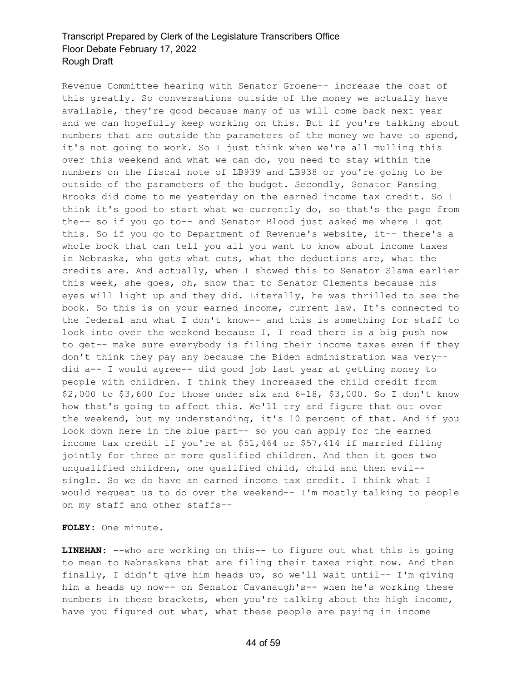Revenue Committee hearing with Senator Groene-- increase the cost of this greatly. So conversations outside of the money we actually have available, they're good because many of us will come back next year and we can hopefully keep working on this. But if you're talking about numbers that are outside the parameters of the money we have to spend, it's not going to work. So I just think when we're all mulling this over this weekend and what we can do, you need to stay within the numbers on the fiscal note of LB939 and LB938 or you're going to be outside of the parameters of the budget. Secondly, Senator Pansing Brooks did come to me yesterday on the earned income tax credit. So I think it's good to start what we currently do, so that's the page from the-- so if you go to-- and Senator Blood just asked me where I got this. So if you go to Department of Revenue's website, it-- there's a whole book that can tell you all you want to know about income taxes in Nebraska, who gets what cuts, what the deductions are, what the credits are. And actually, when I showed this to Senator Slama earlier this week, she goes, oh, show that to Senator Clements because his eyes will light up and they did. Literally, he was thrilled to see the book. So this is on your earned income, current law. It's connected to the federal and what I don't know-- and this is something for staff to look into over the weekend because I, I read there is a big push now to get-- make sure everybody is filing their income taxes even if they don't think they pay any because the Biden administration was very- did a-- I would agree-- did good job last year at getting money to people with children. I think they increased the child credit from \$2,000 to \$3,600 for those under six and 6-18, \$3,000. So I don't know how that's going to affect this. We'll try and figure that out over the weekend, but my understanding, it's 10 percent of that. And if you look down here in the blue part-- so you can apply for the earned income tax credit if you're at \$51,464 or \$57,414 if married filing jointly for three or more qualified children. And then it goes two unqualified children, one qualified child, child and then evil- single. So we do have an earned income tax credit. I think what I would request us to do over the weekend-- I'm mostly talking to people on my staff and other staffs--

**FOLEY:** One minute.

**LINEHAN:** --who are working on this-- to figure out what this is going to mean to Nebraskans that are filing their taxes right now. And then finally, I didn't give him heads up, so we'll wait until-- I'm giving him a heads up now-- on Senator Cavanaugh's-- when he's working these numbers in these brackets, when you're talking about the high income, have you figured out what, what these people are paying in income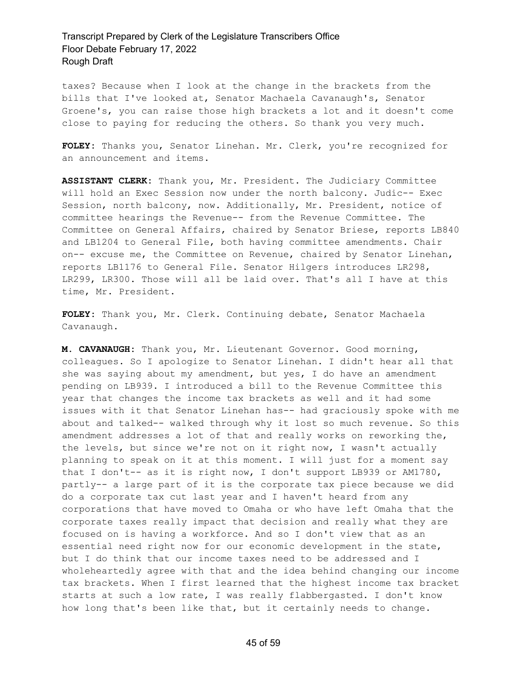taxes? Because when I look at the change in the brackets from the bills that I've looked at, Senator Machaela Cavanaugh's, Senator Groene's, you can raise those high brackets a lot and it doesn't come close to paying for reducing the others. So thank you very much.

**FOLEY:** Thanks you, Senator Linehan. Mr. Clerk, you're recognized for an announcement and items.

**ASSISTANT CLERK:** Thank you, Mr. President. The Judiciary Committee will hold an Exec Session now under the north balcony. Judic-- Exec Session, north balcony, now. Additionally, Mr. President, notice of committee hearings the Revenue-- from the Revenue Committee. The Committee on General Affairs, chaired by Senator Briese, reports LB840 and LB1204 to General File, both having committee amendments. Chair on-- excuse me, the Committee on Revenue, chaired by Senator Linehan, reports LB1176 to General File. Senator Hilgers introduces LR298, LR299, LR300. Those will all be laid over. That's all I have at this time, Mr. President.

**FOLEY:** Thank you, Mr. Clerk. Continuing debate, Senator Machaela Cavanaugh.

**M. CAVANAUGH:** Thank you, Mr. Lieutenant Governor. Good morning, colleagues. So I apologize to Senator Linehan. I didn't hear all that she was saying about my amendment, but yes, I do have an amendment pending on LB939. I introduced a bill to the Revenue Committee this year that changes the income tax brackets as well and it had some issues with it that Senator Linehan has-- had graciously spoke with me about and talked-- walked through why it lost so much revenue. So this amendment addresses a lot of that and really works on reworking the, the levels, but since we're not on it right now, I wasn't actually planning to speak on it at this moment. I will just for a moment say that I don't-- as it is right now, I don't support LB939 or AM1780, partly-- a large part of it is the corporate tax piece because we did do a corporate tax cut last year and I haven't heard from any corporations that have moved to Omaha or who have left Omaha that the corporate taxes really impact that decision and really what they are focused on is having a workforce. And so I don't view that as an essential need right now for our economic development in the state, but I do think that our income taxes need to be addressed and I wholeheartedly agree with that and the idea behind changing our income tax brackets. When I first learned that the highest income tax bracket starts at such a low rate, I was really flabbergasted. I don't know how long that's been like that, but it certainly needs to change.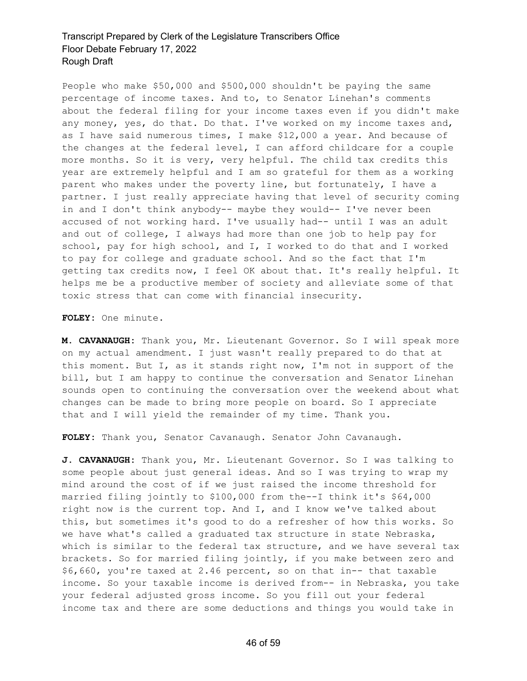People who make \$50,000 and \$500,000 shouldn't be paying the same percentage of income taxes. And to, to Senator Linehan's comments about the federal filing for your income taxes even if you didn't make any money, yes, do that. Do that. I've worked on my income taxes and, as I have said numerous times, I make \$12,000 a year. And because of the changes at the federal level, I can afford childcare for a couple more months. So it is very, very helpful. The child tax credits this year are extremely helpful and I am so grateful for them as a working parent who makes under the poverty line, but fortunately, I have a partner. I just really appreciate having that level of security coming in and I don't think anybody-- maybe they would-- I've never been accused of not working hard. I've usually had-- until I was an adult and out of college, I always had more than one job to help pay for school, pay for high school, and I, I worked to do that and I worked to pay for college and graduate school. And so the fact that I'm getting tax credits now, I feel OK about that. It's really helpful. It helps me be a productive member of society and alleviate some of that toxic stress that can come with financial insecurity.

**FOLEY:** One minute.

**M. CAVANAUGH:** Thank you, Mr. Lieutenant Governor. So I will speak more on my actual amendment. I just wasn't really prepared to do that at this moment. But I, as it stands right now, I'm not in support of the bill, but I am happy to continue the conversation and Senator Linehan sounds open to continuing the conversation over the weekend about what changes can be made to bring more people on board. So I appreciate that and I will yield the remainder of my time. Thank you.

**FOLEY:** Thank you, Senator Cavanaugh. Senator John Cavanaugh.

**J. CAVANAUGH:** Thank you, Mr. Lieutenant Governor. So I was talking to some people about just general ideas. And so I was trying to wrap my mind around the cost of if we just raised the income threshold for married filing jointly to \$100,000 from the--I think it's \$64,000 right now is the current top. And I, and I know we've talked about this, but sometimes it's good to do a refresher of how this works. So we have what's called a graduated tax structure in state Nebraska, which is similar to the federal tax structure, and we have several tax brackets. So for married filing jointly, if you make between zero and \$6,660, you're taxed at 2.46 percent, so on that in-- that taxable income. So your taxable income is derived from-- in Nebraska, you take your federal adjusted gross income. So you fill out your federal income tax and there are some deductions and things you would take in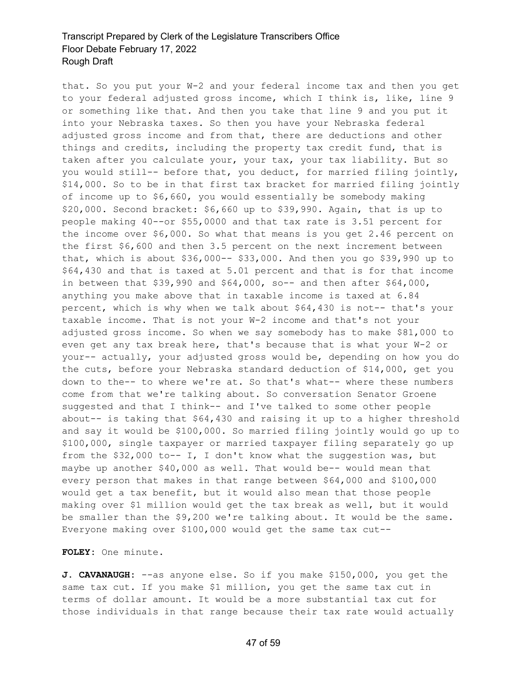that. So you put your W-2 and your federal income tax and then you get to your federal adjusted gross income, which I think is, like, line 9 or something like that. And then you take that line 9 and you put it into your Nebraska taxes. So then you have your Nebraska federal adjusted gross income and from that, there are deductions and other things and credits, including the property tax credit fund, that is taken after you calculate your, your tax, your tax liability. But so you would still-- before that, you deduct, for married filing jointly, \$14,000. So to be in that first tax bracket for married filing jointly of income up to \$6,660, you would essentially be somebody making \$20,000. Second bracket: \$6,660 up to \$39,990. Again, that is up to people making 40--or \$55,0000 and that tax rate is 3.51 percent for the income over \$6,000. So what that means is you get 2.46 percent on the first \$6,600 and then 3.5 percent on the next increment between that, which is about \$36,000-- \$33,000. And then you go \$39,990 up to \$64,430 and that is taxed at 5.01 percent and that is for that income in between that  $$39,990$  and  $$64,000$ , so-- and then after  $$64,000$ , anything you make above that in taxable income is taxed at 6.84 percent, which is why when we talk about \$64,430 is not-- that's your taxable income. That is not your W-2 income and that's not your adjusted gross income. So when we say somebody has to make \$81,000 to even get any tax break here, that's because that is what your W-2 or your-- actually, your adjusted gross would be, depending on how you do the cuts, before your Nebraska standard deduction of \$14,000, get you down to the-- to where we're at. So that's what-- where these numbers come from that we're talking about. So conversation Senator Groene suggested and that I think-- and I've talked to some other people about-- is taking that \$64,430 and raising it up to a higher threshold and say it would be \$100,000. So married filing jointly would go up to \$100,000, single taxpayer or married taxpayer filing separately go up from the \$32,000 to-- I, I don't know what the suggestion was, but maybe up another \$40,000 as well. That would be-- would mean that every person that makes in that range between \$64,000 and \$100,000 would get a tax benefit, but it would also mean that those people making over \$1 million would get the tax break as well, but it would be smaller than the \$9,200 we're talking about. It would be the same. Everyone making over \$100,000 would get the same tax cut--

#### **FOLEY:** One minute.

**J. CAVANAUGH:** --as anyone else. So if you make \$150,000, you get the same tax cut. If you make \$1 million, you get the same tax cut in terms of dollar amount. It would be a more substantial tax cut for those individuals in that range because their tax rate would actually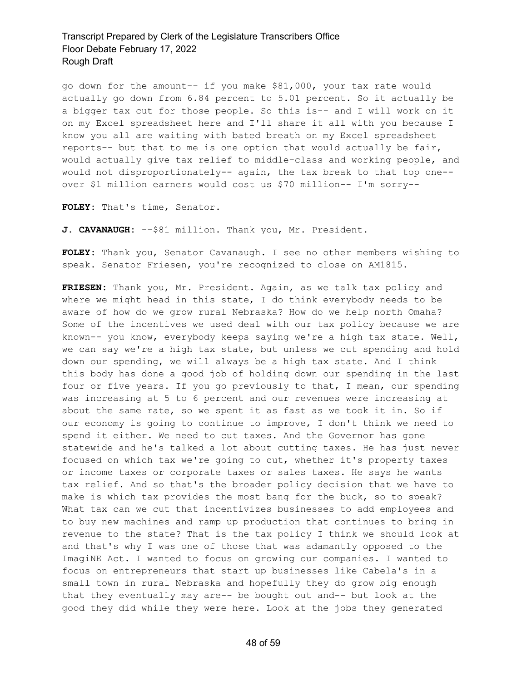go down for the amount-- if you make \$81,000, your tax rate would actually go down from 6.84 percent to 5.01 percent. So it actually be a bigger tax cut for those people. So this is-- and I will work on it on my Excel spreadsheet here and I'll share it all with you because I know you all are waiting with bated breath on my Excel spreadsheet reports-- but that to me is one option that would actually be fair, would actually give tax relief to middle-class and working people, and would not disproportionately-- again, the tax break to that top one- over \$1 million earners would cost us \$70 million-- I'm sorry--

**FOLEY:** That's time, Senator.

**J. CAVANAUGH:** --\$81 million. Thank you, Mr. President.

**FOLEY:** Thank you, Senator Cavanaugh. I see no other members wishing to speak. Senator Friesen, you're recognized to close on AM1815.

**FRIESEN:** Thank you, Mr. President. Again, as we talk tax policy and where we might head in this state, I do think everybody needs to be aware of how do we grow rural Nebraska? How do we help north Omaha? Some of the incentives we used deal with our tax policy because we are known-- you know, everybody keeps saying we're a high tax state. Well, we can say we're a high tax state, but unless we cut spending and hold down our spending, we will always be a high tax state. And I think this body has done a good job of holding down our spending in the last four or five years. If you go previously to that, I mean, our spending was increasing at 5 to 6 percent and our revenues were increasing at about the same rate, so we spent it as fast as we took it in. So if our economy is going to continue to improve, I don't think we need to spend it either. We need to cut taxes. And the Governor has gone statewide and he's talked a lot about cutting taxes. He has just never focused on which tax we're going to cut, whether it's property taxes or income taxes or corporate taxes or sales taxes. He says he wants tax relief. And so that's the broader policy decision that we have to make is which tax provides the most bang for the buck, so to speak? What tax can we cut that incentivizes businesses to add employees and to buy new machines and ramp up production that continues to bring in revenue to the state? That is the tax policy I think we should look at and that's why I was one of those that was adamantly opposed to the ImagiNE Act. I wanted to focus on growing our companies. I wanted to focus on entrepreneurs that start up businesses like Cabela's in a small town in rural Nebraska and hopefully they do grow big enough that they eventually may are-- be bought out and-- but look at the good they did while they were here. Look at the jobs they generated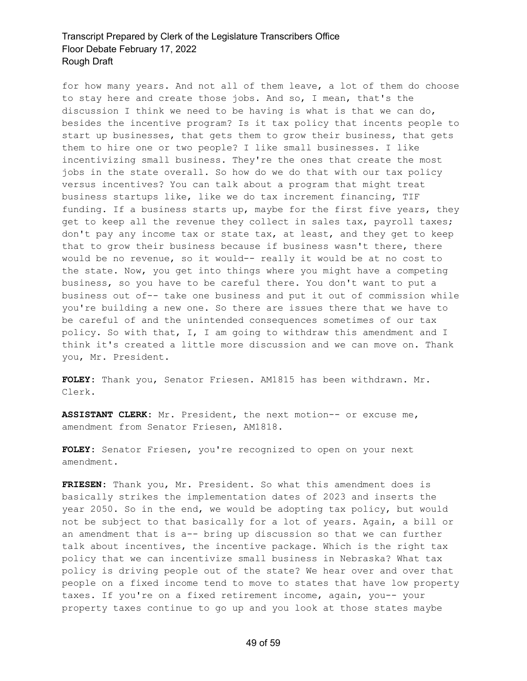for how many years. And not all of them leave, a lot of them do choose to stay here and create those jobs. And so, I mean, that's the discussion I think we need to be having is what is that we can do, besides the incentive program? Is it tax policy that incents people to start up businesses, that gets them to grow their business, that gets them to hire one or two people? I like small businesses. I like incentivizing small business. They're the ones that create the most jobs in the state overall. So how do we do that with our tax policy versus incentives? You can talk about a program that might treat business startups like, like we do tax increment financing, TIF funding. If a business starts up, maybe for the first five years, they get to keep all the revenue they collect in sales tax, payroll taxes; don't pay any income tax or state tax, at least, and they get to keep that to grow their business because if business wasn't there, there would be no revenue, so it would-- really it would be at no cost to the state. Now, you get into things where you might have a competing business, so you have to be careful there. You don't want to put a business out of-- take one business and put it out of commission while you're building a new one. So there are issues there that we have to be careful of and the unintended consequences sometimes of our tax policy. So with that, I, I am going to withdraw this amendment and I think it's created a little more discussion and we can move on. Thank you, Mr. President.

**FOLEY:** Thank you, Senator Friesen. AM1815 has been withdrawn. Mr. Clerk.

**ASSISTANT CLERK:** Mr. President, the next motion-- or excuse me, amendment from Senator Friesen, AM1818.

**FOLEY:** Senator Friesen, you're recognized to open on your next amendment.

**FRIESEN:** Thank you, Mr. President. So what this amendment does is basically strikes the implementation dates of 2023 and inserts the year 2050. So in the end, we would be adopting tax policy, but would not be subject to that basically for a lot of years. Again, a bill or an amendment that is a-- bring up discussion so that we can further talk about incentives, the incentive package. Which is the right tax policy that we can incentivize small business in Nebraska? What tax policy is driving people out of the state? We hear over and over that people on a fixed income tend to move to states that have low property taxes. If you're on a fixed retirement income, again, you-- your property taxes continue to go up and you look at those states maybe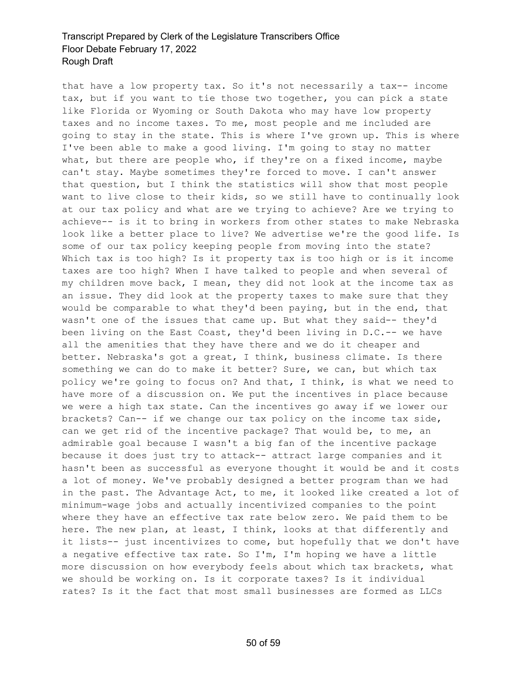that have a low property tax. So it's not necessarily a tax-- income tax, but if you want to tie those two together, you can pick a state like Florida or Wyoming or South Dakota who may have low property taxes and no income taxes. To me, most people and me included are going to stay in the state. This is where I've grown up. This is where I've been able to make a good living. I'm going to stay no matter what, but there are people who, if they're on a fixed income, maybe can't stay. Maybe sometimes they're forced to move. I can't answer that question, but I think the statistics will show that most people want to live close to their kids, so we still have to continually look at our tax policy and what are we trying to achieve? Are we trying to achieve-- is it to bring in workers from other states to make Nebraska look like a better place to live? We advertise we're the good life. Is some of our tax policy keeping people from moving into the state? Which tax is too high? Is it property tax is too high or is it income taxes are too high? When I have talked to people and when several of my children move back, I mean, they did not look at the income tax as an issue. They did look at the property taxes to make sure that they would be comparable to what they'd been paying, but in the end, that wasn't one of the issues that came up. But what they said-- they'd been living on the East Coast, they'd been living in D.C.-- we have all the amenities that they have there and we do it cheaper and better. Nebraska's got a great, I think, business climate. Is there something we can do to make it better? Sure, we can, but which tax policy we're going to focus on? And that, I think, is what we need to have more of a discussion on. We put the incentives in place because we were a high tax state. Can the incentives go away if we lower our brackets? Can-- if we change our tax policy on the income tax side, can we get rid of the incentive package? That would be, to me, an admirable goal because I wasn't a big fan of the incentive package because it does just try to attack-- attract large companies and it hasn't been as successful as everyone thought it would be and it costs a lot of money. We've probably designed a better program than we had in the past. The Advantage Act, to me, it looked like created a lot of minimum-wage jobs and actually incentivized companies to the point where they have an effective tax rate below zero. We paid them to be here. The new plan, at least, I think, looks at that differently and it lists-- just incentivizes to come, but hopefully that we don't have a negative effective tax rate. So I'm, I'm hoping we have a little more discussion on how everybody feels about which tax brackets, what we should be working on. Is it corporate taxes? Is it individual rates? Is it the fact that most small businesses are formed as LLCs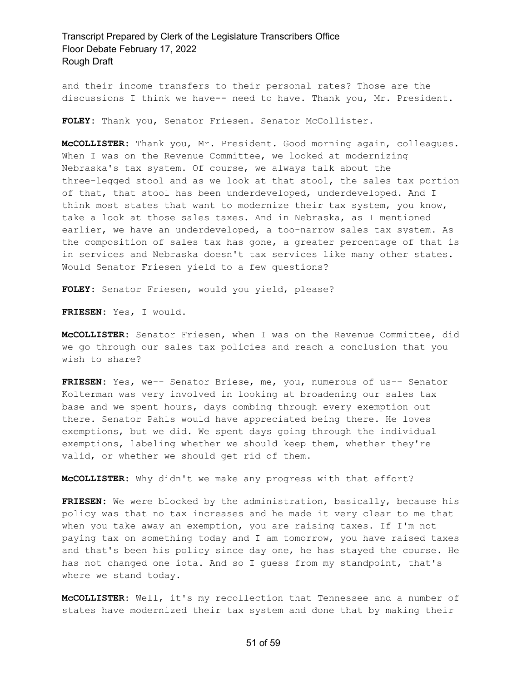and their income transfers to their personal rates? Those are the discussions I think we have-- need to have. Thank you, Mr. President.

**FOLEY:** Thank you, Senator Friesen. Senator McCollister.

**McCOLLISTER:** Thank you, Mr. President. Good morning again, colleagues. When I was on the Revenue Committee, we looked at modernizing Nebraska's tax system. Of course, we always talk about the three-legged stool and as we look at that stool, the sales tax portion of that, that stool has been underdeveloped, underdeveloped. And I think most states that want to modernize their tax system, you know, take a look at those sales taxes. And in Nebraska, as I mentioned earlier, we have an underdeveloped, a too-narrow sales tax system. As the composition of sales tax has gone, a greater percentage of that is in services and Nebraska doesn't tax services like many other states. Would Senator Friesen yield to a few questions?

**FOLEY:** Senator Friesen, would you yield, please?

**FRIESEN:** Yes, I would.

**McCOLLISTER:** Senator Friesen, when I was on the Revenue Committee, did we go through our sales tax policies and reach a conclusion that you wish to share?

**FRIESEN:** Yes, we-- Senator Briese, me, you, numerous of us-- Senator Kolterman was very involved in looking at broadening our sales tax base and we spent hours, days combing through every exemption out there. Senator Pahls would have appreciated being there. He loves exemptions, but we did. We spent days going through the individual exemptions, labeling whether we should keep them, whether they're valid, or whether we should get rid of them.

**McCOLLISTER:** Why didn't we make any progress with that effort?

**FRIESEN:** We were blocked by the administration, basically, because his policy was that no tax increases and he made it very clear to me that when you take away an exemption, you are raising taxes. If I'm not paying tax on something today and I am tomorrow, you have raised taxes and that's been his policy since day one, he has stayed the course. He has not changed one iota. And so I guess from my standpoint, that's where we stand today.

**McCOLLISTER:** Well, it's my recollection that Tennessee and a number of states have modernized their tax system and done that by making their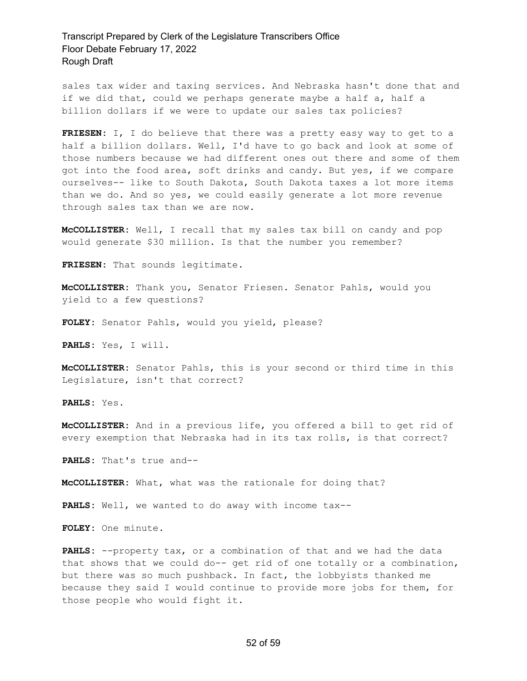sales tax wider and taxing services. And Nebraska hasn't done that and if we did that, could we perhaps generate maybe a half a, half a billion dollars if we were to update our sales tax policies?

**FRIESEN:** I, I do believe that there was a pretty easy way to get to a half a billion dollars. Well, I'd have to go back and look at some of those numbers because we had different ones out there and some of them got into the food area, soft drinks and candy. But yes, if we compare ourselves-- like to South Dakota, South Dakota taxes a lot more items than we do. And so yes, we could easily generate a lot more revenue through sales tax than we are now.

**McCOLLISTER:** Well, I recall that my sales tax bill on candy and pop would generate \$30 million. Is that the number you remember?

**FRIESEN:** That sounds legitimate.

**McCOLLISTER:** Thank you, Senator Friesen. Senator Pahls, would you yield to a few questions?

**FOLEY:** Senator Pahls, would you yield, please?

**PAHLS:** Yes, I will.

**McCOLLISTER:** Senator Pahls, this is your second or third time in this Legislature, isn't that correct?

**PAHLS:** Yes.

**McCOLLISTER:** And in a previous life, you offered a bill to get rid of every exemption that Nebraska had in its tax rolls, is that correct?

**PAHLS:** That's true and--

**McCOLLISTER:** What, what was the rationale for doing that?

**PAHLS:** Well, we wanted to do away with income tax--

**FOLEY:** One minute.

PAHLS: --property tax, or a combination of that and we had the data that shows that we could do-- get rid of one totally or a combination, but there was so much pushback. In fact, the lobbyists thanked me because they said I would continue to provide more jobs for them, for those people who would fight it.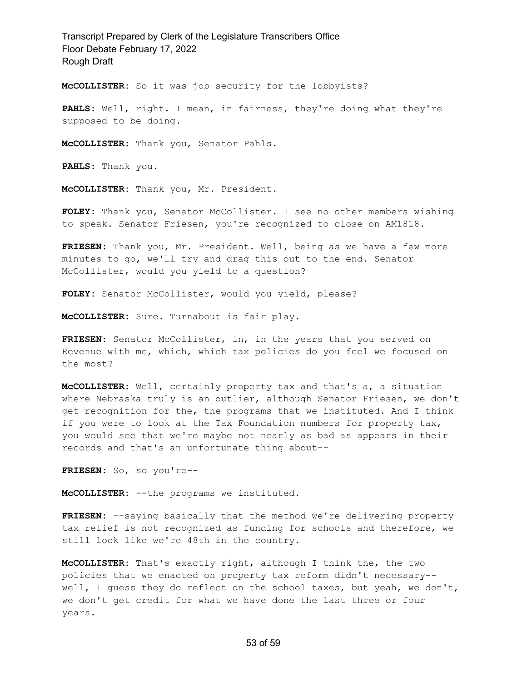**McCOLLISTER:** So it was job security for the lobbyists?

**PAHLS:** Well, right. I mean, in fairness, they're doing what they're supposed to be doing.

**McCOLLISTER:** Thank you, Senator Pahls.

**PAHLS:** Thank you.

**McCOLLISTER:** Thank you, Mr. President.

**FOLEY:** Thank you, Senator McCollister. I see no other members wishing to speak. Senator Friesen, you're recognized to close on AM1818.

**FRIESEN:** Thank you, Mr. President. Well, being as we have a few more minutes to go, we'll try and drag this out to the end. Senator McCollister, would you yield to a question?

FOLEY: Senator McCollister, would you yield, please?

**McCOLLISTER:** Sure. Turnabout is fair play.

**FRIESEN:** Senator McCollister, in, in the years that you served on Revenue with me, which, which tax policies do you feel we focused on the most?

**McCOLLISTER:** Well, certainly property tax and that's a, a situation where Nebraska truly is an outlier, although Senator Friesen, we don't get recognition for the, the programs that we instituted. And I think if you were to look at the Tax Foundation numbers for property tax, you would see that we're maybe not nearly as bad as appears in their records and that's an unfortunate thing about--

**FRIESEN:** So, so you're--

**McCOLLISTER:** --the programs we instituted.

**FRIESEN:** --saying basically that the method we're delivering property tax relief is not recognized as funding for schools and therefore, we still look like we're 48th in the country.

**McCOLLISTER:** That's exactly right, although I think the, the two policies that we enacted on property tax reform didn't necessary- well, I guess they do reflect on the school taxes, but yeah, we don't, we don't get credit for what we have done the last three or four years.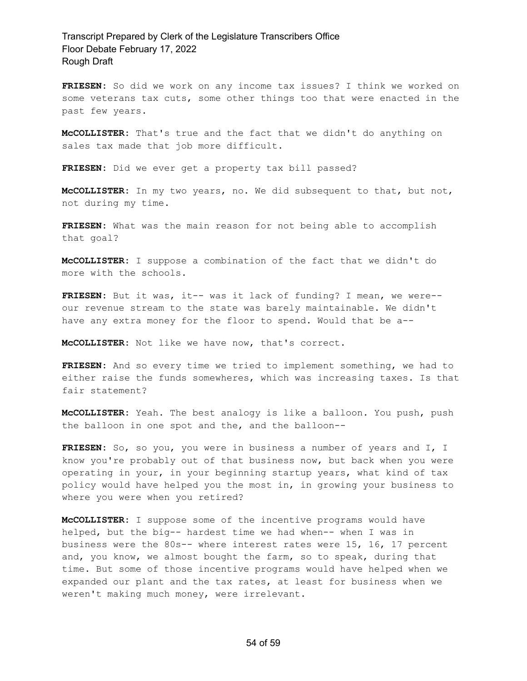**FRIESEN:** So did we work on any income tax issues? I think we worked on some veterans tax cuts, some other things too that were enacted in the past few years.

**McCOLLISTER:** That's true and the fact that we didn't do anything on sales tax made that job more difficult.

**FRIESEN:** Did we ever get a property tax bill passed?

**McCOLLISTER:** In my two years, no. We did subsequent to that, but not, not during my time.

**FRIESEN:** What was the main reason for not being able to accomplish that goal?

**McCOLLISTER:** I suppose a combination of the fact that we didn't do more with the schools.

**FRIESEN:** But it was, it-- was it lack of funding? I mean, we were- our revenue stream to the state was barely maintainable. We didn't have any extra money for the floor to spend. Would that be a--

**McCOLLISTER:** Not like we have now, that's correct.

**FRIESEN:** And so every time we tried to implement something, we had to either raise the funds somewheres, which was increasing taxes. Is that fair statement?

**McCOLLISTER:** Yeah. The best analogy is like a balloon. You push, push the balloon in one spot and the, and the balloon--

**FRIESEN:** So, so you, you were in business a number of years and I, I know you're probably out of that business now, but back when you were operating in your, in your beginning startup years, what kind of tax policy would have helped you the most in, in growing your business to where you were when you retired?

**McCOLLISTER:** I suppose some of the incentive programs would have helped, but the big-- hardest time we had when-- when I was in business were the 80s-- where interest rates were 15, 16, 17 percent and, you know, we almost bought the farm, so to speak, during that time. But some of those incentive programs would have helped when we expanded our plant and the tax rates, at least for business when we weren't making much money, were irrelevant.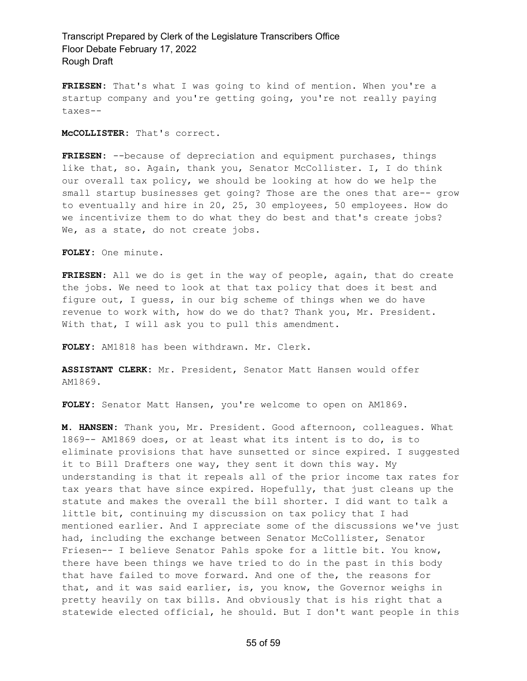**FRIESEN:** That's what I was going to kind of mention. When you're a startup company and you're getting going, you're not really paying taxes--

**McCOLLISTER:** That's correct.

**FRIESEN:** --because of depreciation and equipment purchases, things like that, so. Again, thank you, Senator McCollister. I, I do think our overall tax policy, we should be looking at how do we help the small startup businesses get going? Those are the ones that are-- grow to eventually and hire in 20, 25, 30 employees, 50 employees. How do we incentivize them to do what they do best and that's create jobs? We, as a state, do not create jobs.

**FOLEY:** One minute.

**FRIESEN:** All we do is get in the way of people, again, that do create the jobs. We need to look at that tax policy that does it best and figure out, I guess, in our big scheme of things when we do have revenue to work with, how do we do that? Thank you, Mr. President. With that, I will ask you to pull this amendment.

**FOLEY:** AM1818 has been withdrawn. Mr. Clerk.

**ASSISTANT CLERK:** Mr. President, Senator Matt Hansen would offer AM1869.

**FOLEY:** Senator Matt Hansen, you're welcome to open on AM1869.

**M. HANSEN:** Thank you, Mr. President. Good afternoon, colleagues. What 1869-- AM1869 does, or at least what its intent is to do, is to eliminate provisions that have sunsetted or since expired. I suggested it to Bill Drafters one way, they sent it down this way. My understanding is that it repeals all of the prior income tax rates for tax years that have since expired. Hopefully, that just cleans up the statute and makes the overall the bill shorter. I did want to talk a little bit, continuing my discussion on tax policy that I had mentioned earlier. And I appreciate some of the discussions we've just had, including the exchange between Senator McCollister, Senator Friesen-- I believe Senator Pahls spoke for a little bit. You know, there have been things we have tried to do in the past in this body that have failed to move forward. And one of the, the reasons for that, and it was said earlier, is, you know, the Governor weighs in pretty heavily on tax bills. And obviously that is his right that a statewide elected official, he should. But I don't want people in this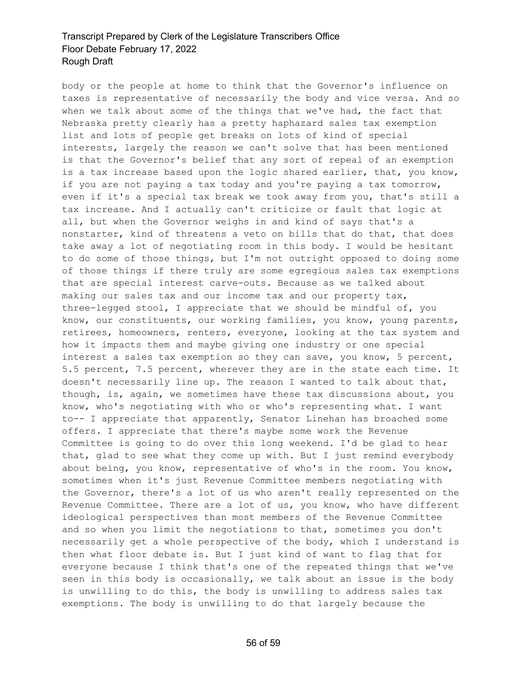body or the people at home to think that the Governor's influence on taxes is representative of necessarily the body and vice versa. And so when we talk about some of the things that we've had, the fact that Nebraska pretty clearly has a pretty haphazard sales tax exemption list and lots of people get breaks on lots of kind of special interests, largely the reason we can't solve that has been mentioned is that the Governor's belief that any sort of repeal of an exemption is a tax increase based upon the logic shared earlier, that, you know, if you are not paying a tax today and you're paying a tax tomorrow, even if it's a special tax break we took away from you, that's still a tax increase. And I actually can't criticize or fault that logic at all, but when the Governor weighs in and kind of says that's a nonstarter, kind of threatens a veto on bills that do that, that does take away a lot of negotiating room in this body. I would be hesitant to do some of those things, but I'm not outright opposed to doing some of those things if there truly are some egregious sales tax exemptions that are special interest carve-outs. Because as we talked about making our sales tax and our income tax and our property tax, three-legged stool, I appreciate that we should be mindful of, you know, our constituents, our working families, you know, young parents, retirees, homeowners, renters, everyone, looking at the tax system and how it impacts them and maybe giving one industry or one special interest a sales tax exemption so they can save, you know, 5 percent, 5.5 percent, 7.5 percent, wherever they are in the state each time. It doesn't necessarily line up. The reason I wanted to talk about that, though, is, again, we sometimes have these tax discussions about, you know, who's negotiating with who or who's representing what. I want to-- I appreciate that apparently, Senator Linehan has broached some offers. I appreciate that there's maybe some work the Revenue Committee is going to do over this long weekend. I'd be glad to hear that, glad to see what they come up with. But I just remind everybody about being, you know, representative of who's in the room. You know, sometimes when it's just Revenue Committee members negotiating with the Governor, there's a lot of us who aren't really represented on the Revenue Committee. There are a lot of us, you know, who have different ideological perspectives than most members of the Revenue Committee and so when you limit the negotiations to that, sometimes you don't necessarily get a whole perspective of the body, which I understand is then what floor debate is. But I just kind of want to flag that for everyone because I think that's one of the repeated things that we've seen in this body is occasionally, we talk about an issue is the body is unwilling to do this, the body is unwilling to address sales tax exemptions. The body is unwilling to do that largely because the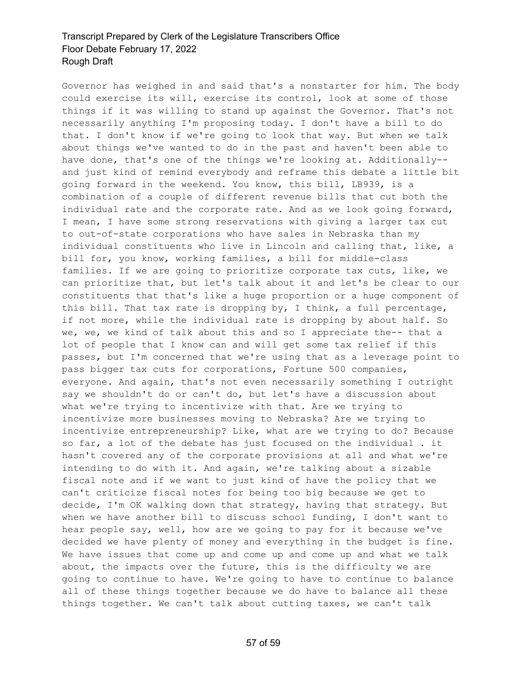Governor has weighed in and said that's a nonstarter for him. The body could exercise its will, exercise its control, look at some of those things if it was willing to stand up against the Governor. That's not necessarily anything I'm proposing today. I don't have a bill to do that. I don't know if we're going to look that way. But when we talk about things we've wanted to do in the past and haven't been able to have done, that's one of the things we're looking at. Additionally- and just kind of remind everybody and reframe this debate a little bit going forward in the weekend. You know, this bill, LB939, is a combination of a couple of different revenue bills that cut both the individual rate and the corporate rate. And as we look going forward, I mean, I have some strong reservations with giving a larger tax cut to out-of-state corporations who have sales in Nebraska than my individual constituents who live in Lincoln and calling that, like, a bill for, you know, working families, a bill for middle-class families. If we are going to prioritize corporate tax cuts, like, we can prioritize that, but let's talk about it and let's be clear to our constituents that that's like a huge proportion or a huge component of this bill. That tax rate is dropping by, I think, a full percentage, if not more, while the individual rate is dropping by about half. So we, we, we kind of talk about this and so I appreciate the-- that a lot of people that I know can and will get some tax relief if this passes, but I'm concerned that we're using that as a leverage point to pass bigger tax cuts for corporations, Fortune 500 companies, everyone. And again, that's not even necessarily something I outright say we shouldn't do or can't do, but let's have a discussion about what we're trying to incentivize with that. Are we trying to incentivize more businesses moving to Nebraska? Are we trying to incentivize entrepreneurship? Like, what are we trying to do? Because so far, a lot of the debate has just focused on the individual . it hasn't covered any of the corporate provisions at all and what we're intending to do with it. And again, we're talking about a sizable fiscal note and if we want to just kind of have the policy that we can't criticize fiscal notes for being too big because we get to decide, I'm OK walking down that strategy, having that strategy. But when we have another bill to discuss school funding, I don't want to hear people say, well, how are we going to pay for it because we've decided we have plenty of money and everything in the budget is fine. We have issues that come up and come up and come up and what we talk about, the impacts over the future, this is the difficulty we are going to continue to have. We're going to have to continue to balance all of these things together because we do have to balance all these things together. We can't talk about cutting taxes, we can't talk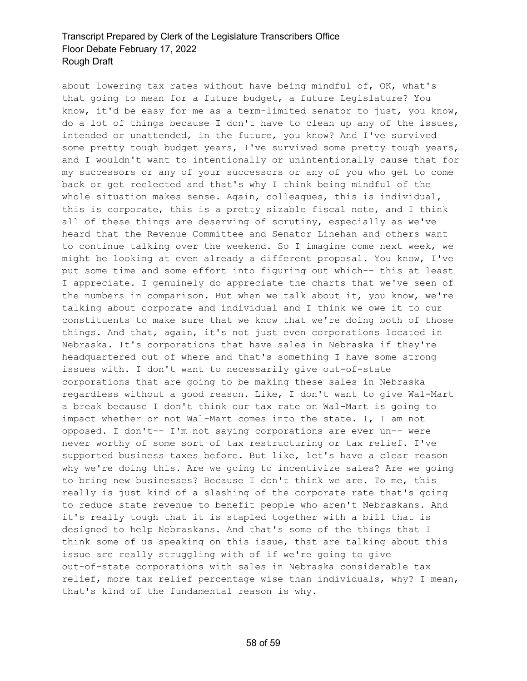about lowering tax rates without have being mindful of, OK, what's that going to mean for a future budget, a future Legislature? You know, it'd be easy for me as a term-limited senator to just, you know, do a lot of things because I don't have to clean up any of the issues, intended or unattended, in the future, you know? And I've survived some pretty tough budget years, I've survived some pretty tough years, and I wouldn't want to intentionally or unintentionally cause that for my successors or any of your successors or any of you who get to come back or get reelected and that's why I think being mindful of the whole situation makes sense. Again, colleagues, this is individual, this is corporate, this is a pretty sizable fiscal note, and I think all of these things are deserving of scrutiny, especially as we've heard that the Revenue Committee and Senator Linehan and others want to continue talking over the weekend. So I imagine come next week, we might be looking at even already a different proposal. You know, I've put some time and some effort into figuring out which-- this at least I appreciate. I genuinely do appreciate the charts that we've seen of the numbers in comparison. But when we talk about it, you know, we're talking about corporate and individual and I think we owe it to our constituents to make sure that we know that we're doing both of those things. And that, again, it's not just even corporations located in Nebraska. It's corporations that have sales in Nebraska if they're headquartered out of where and that's something I have some strong issues with. I don't want to necessarily give out-of-state corporations that are going to be making these sales in Nebraska regardless without a good reason. Like, I don't want to give Wal-Mart a break because I don't think our tax rate on Wal-Mart is going to impact whether or not Wal-Mart comes into the state. I, I am not opposed. I don't-- I'm not saying corporations are ever un-- were never worthy of some sort of tax restructuring or tax relief. I've supported business taxes before. But like, let's have a clear reason why we're doing this. Are we going to incentivize sales? Are we going to bring new businesses? Because I don't think we are. To me, this really is just kind of a slashing of the corporate rate that's going to reduce state revenue to benefit people who aren't Nebraskans. And it's really tough that it is stapled together with a bill that is designed to help Nebraskans. And that's some of the things that I think some of us speaking on this issue, that are talking about this issue are really struggling with of if we're going to give out-of-state corporations with sales in Nebraska considerable tax relief, more tax relief percentage wise than individuals, why? I mean, that's kind of the fundamental reason is why.